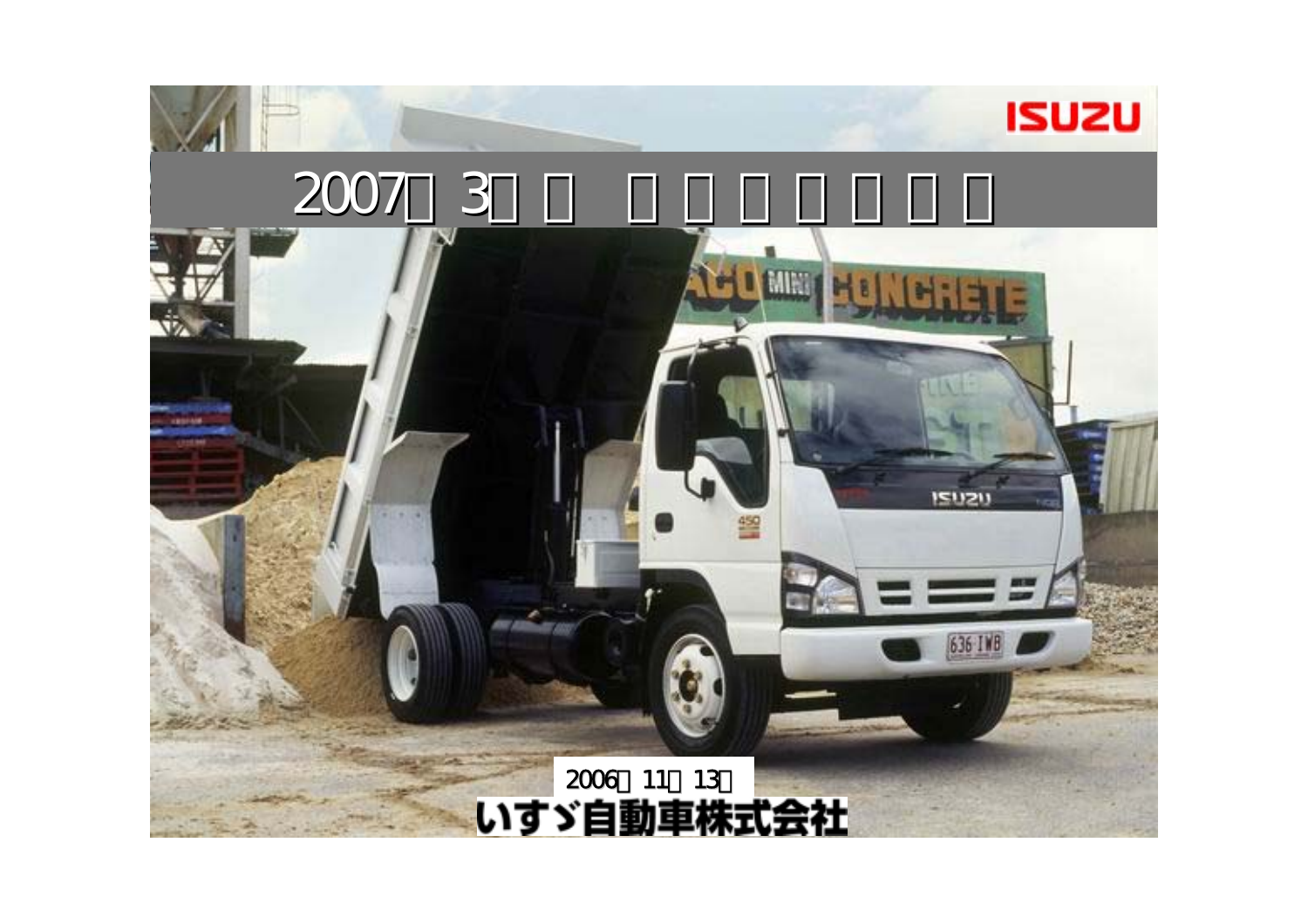

塑

<u>ויכטפו</u>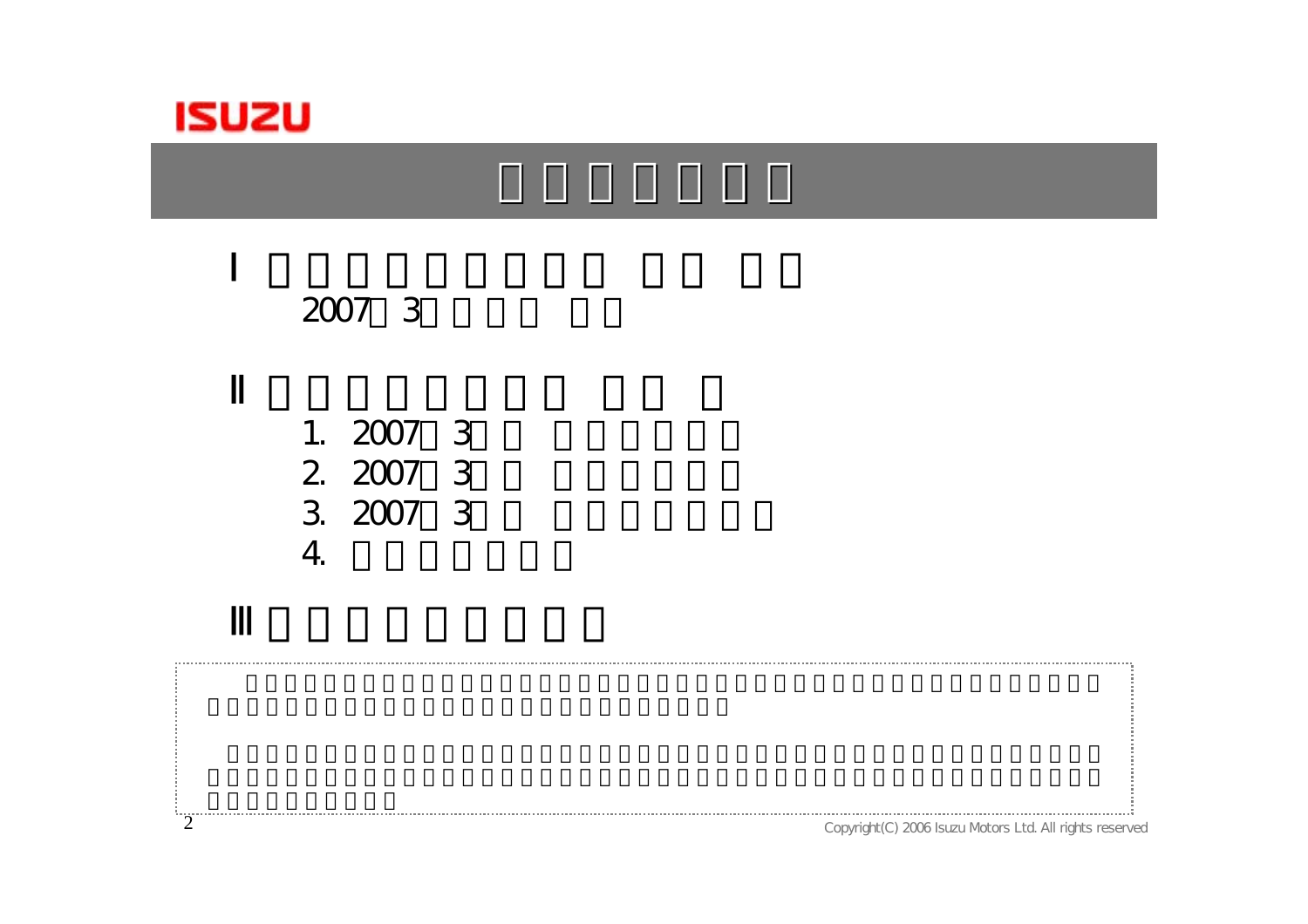

#### 2007 3

1. 2007 3 2. 2007 3 3. 2007 3 4. 事業状況と課題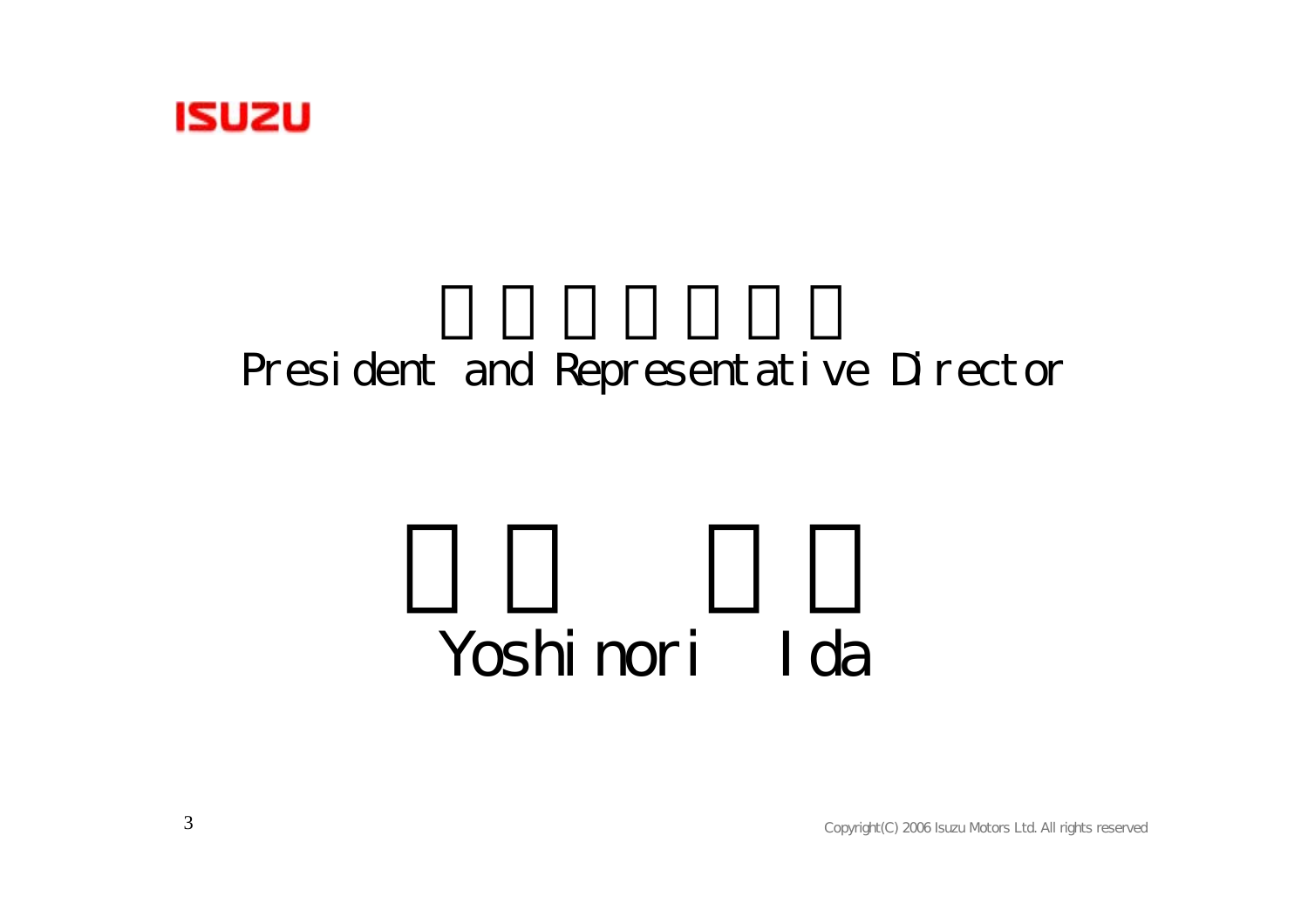

### President and Representative Director

### Yoshinori Ida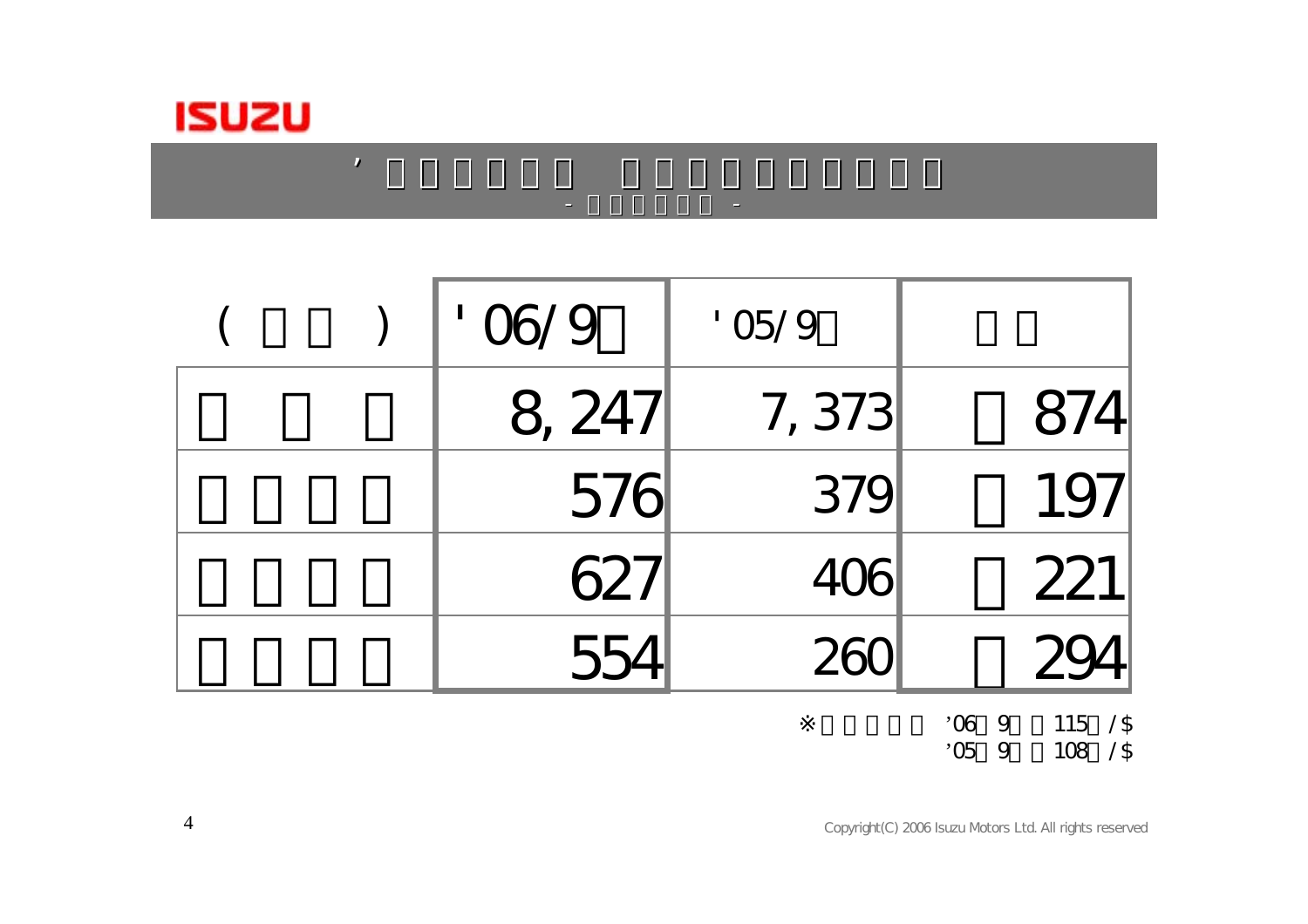

|  | 06/9   | $'$ 05/9 |     |
|--|--------|----------|-----|
|  | 8, 247 | 7, 373   | 874 |
|  | 576    | 379      | 197 |
|  | 627    | 406      | 221 |
|  |        | 26       |     |

-

-

'06年9月=115円/\$ '05年9月=108円/\$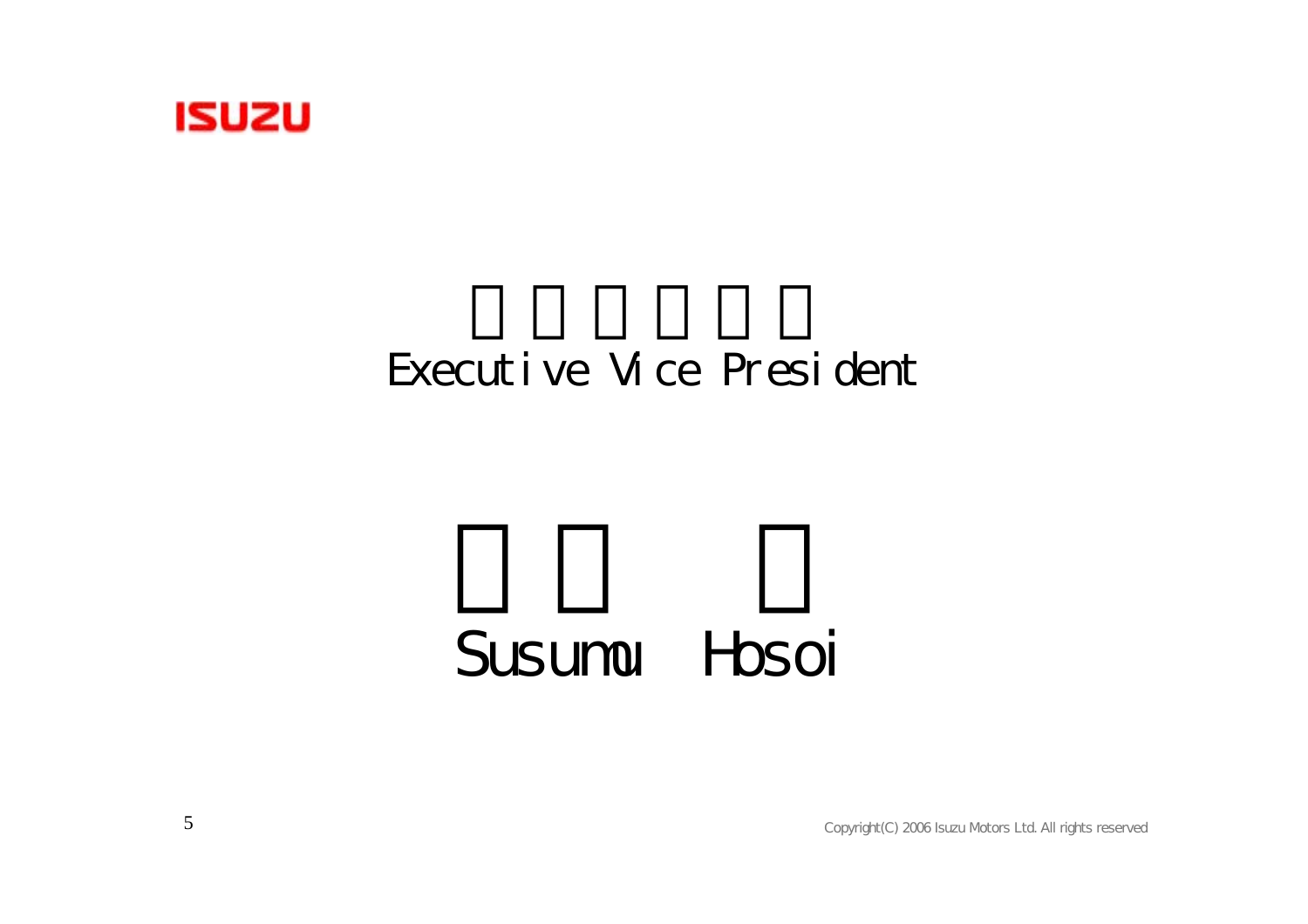

#### Executive Vice President

### Susumu Hosoi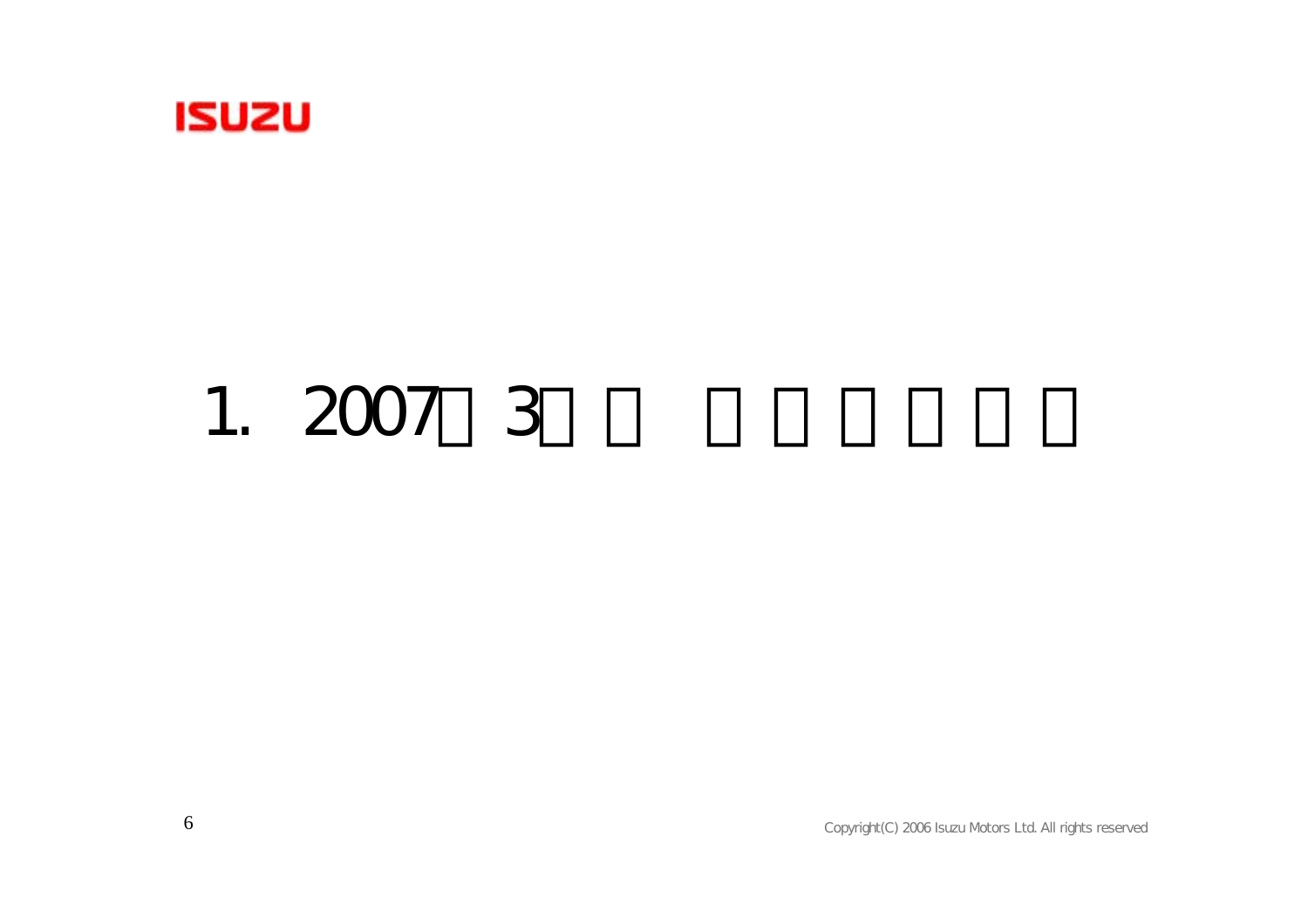

## 1. 2007 3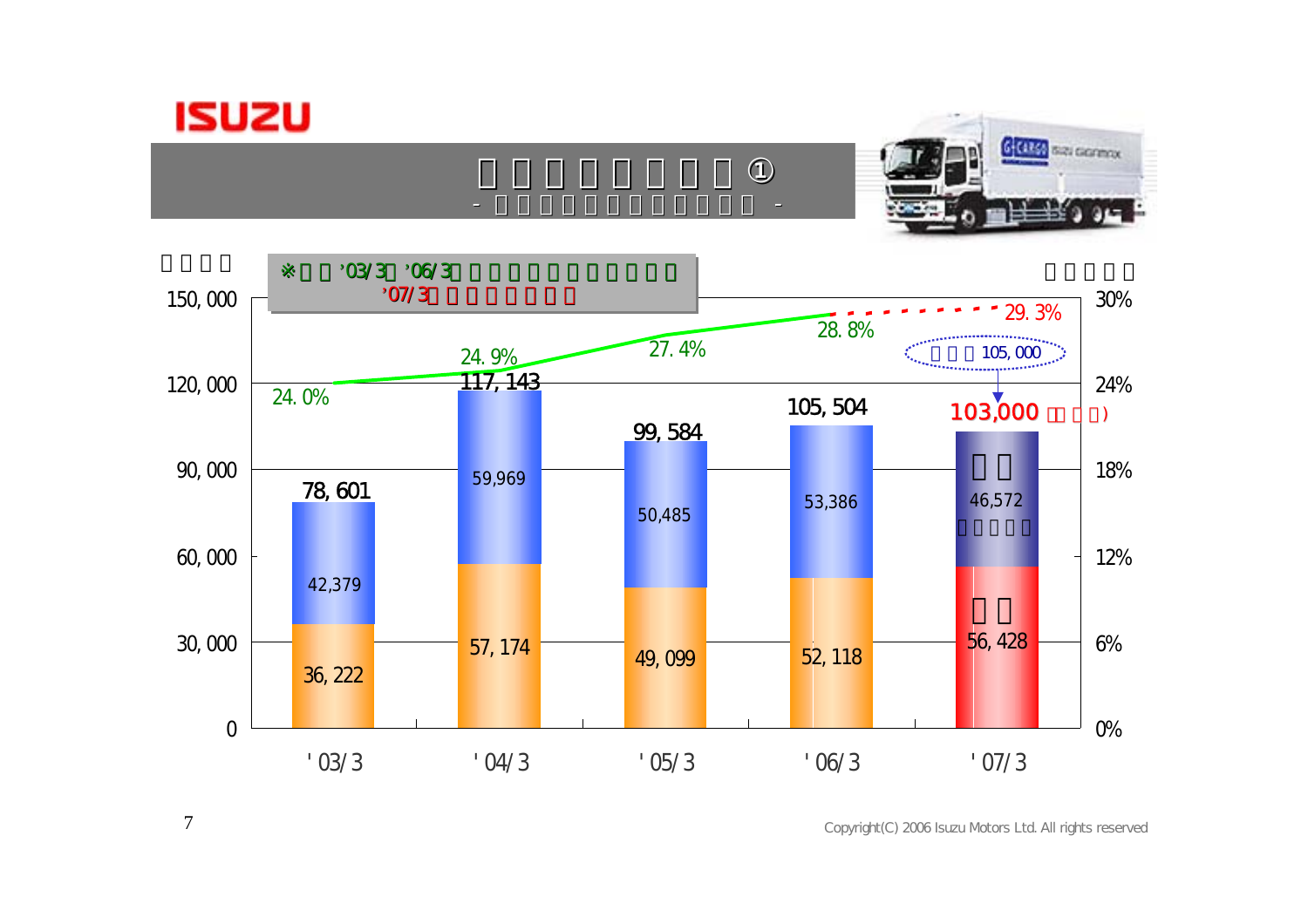





-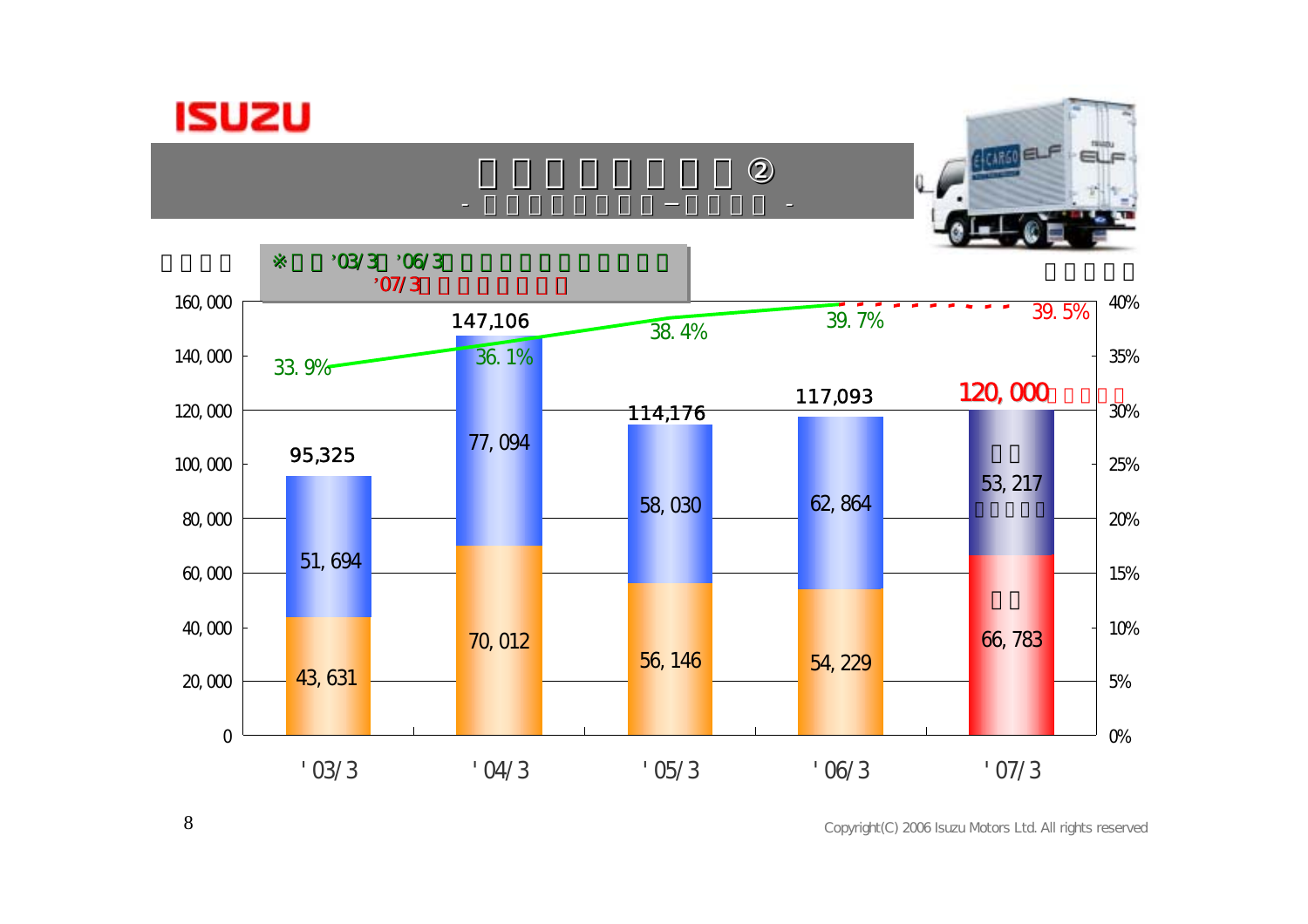



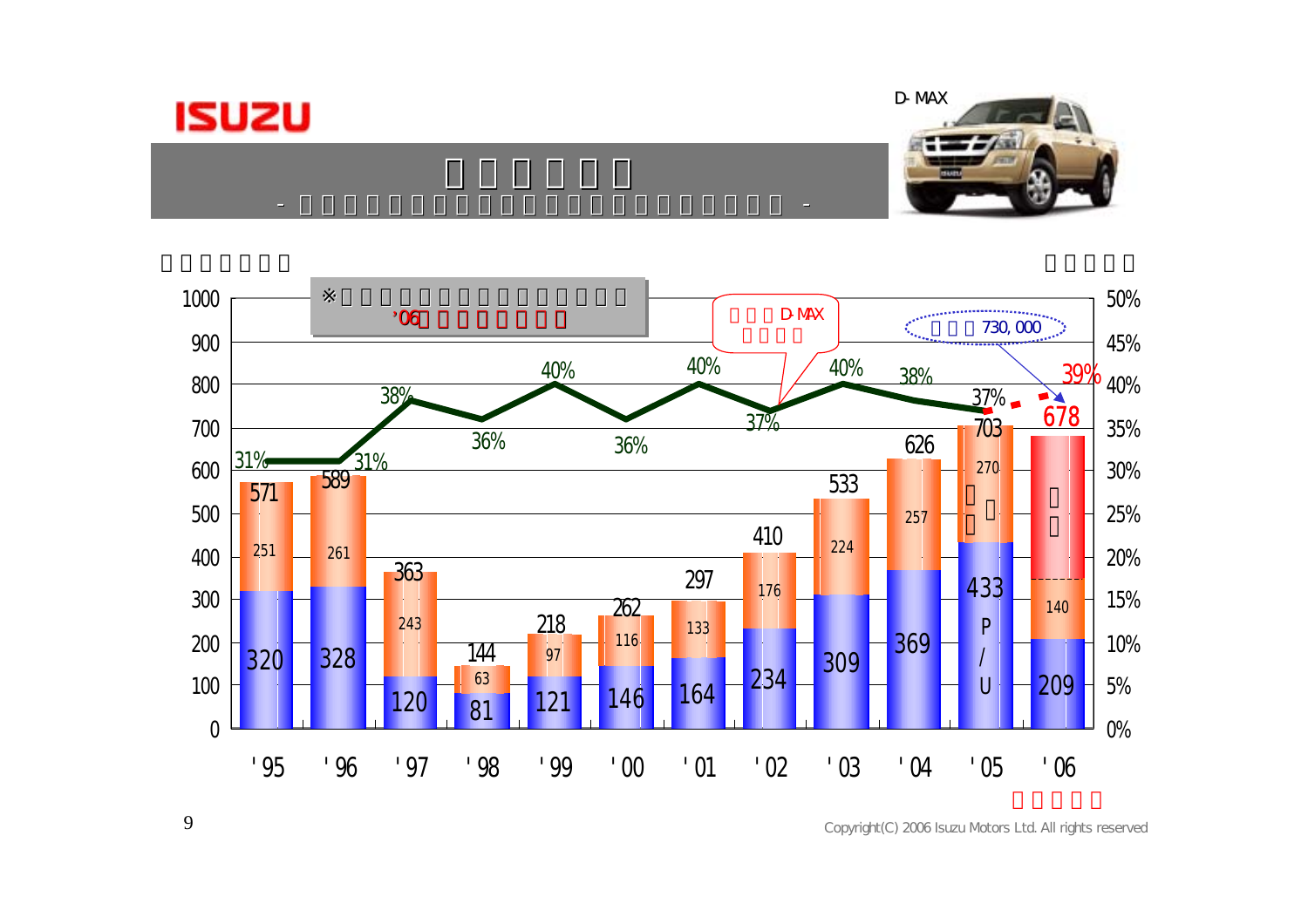

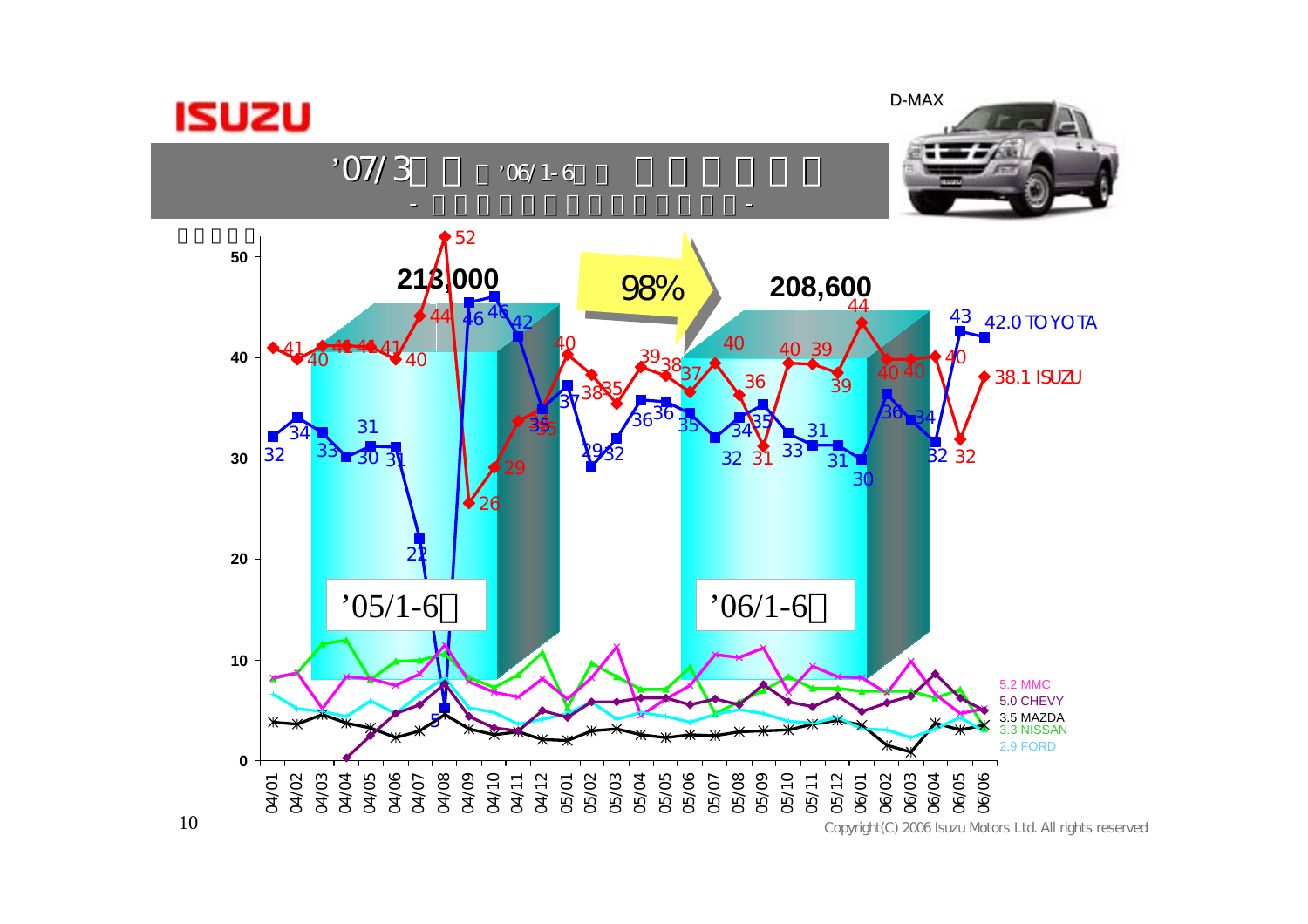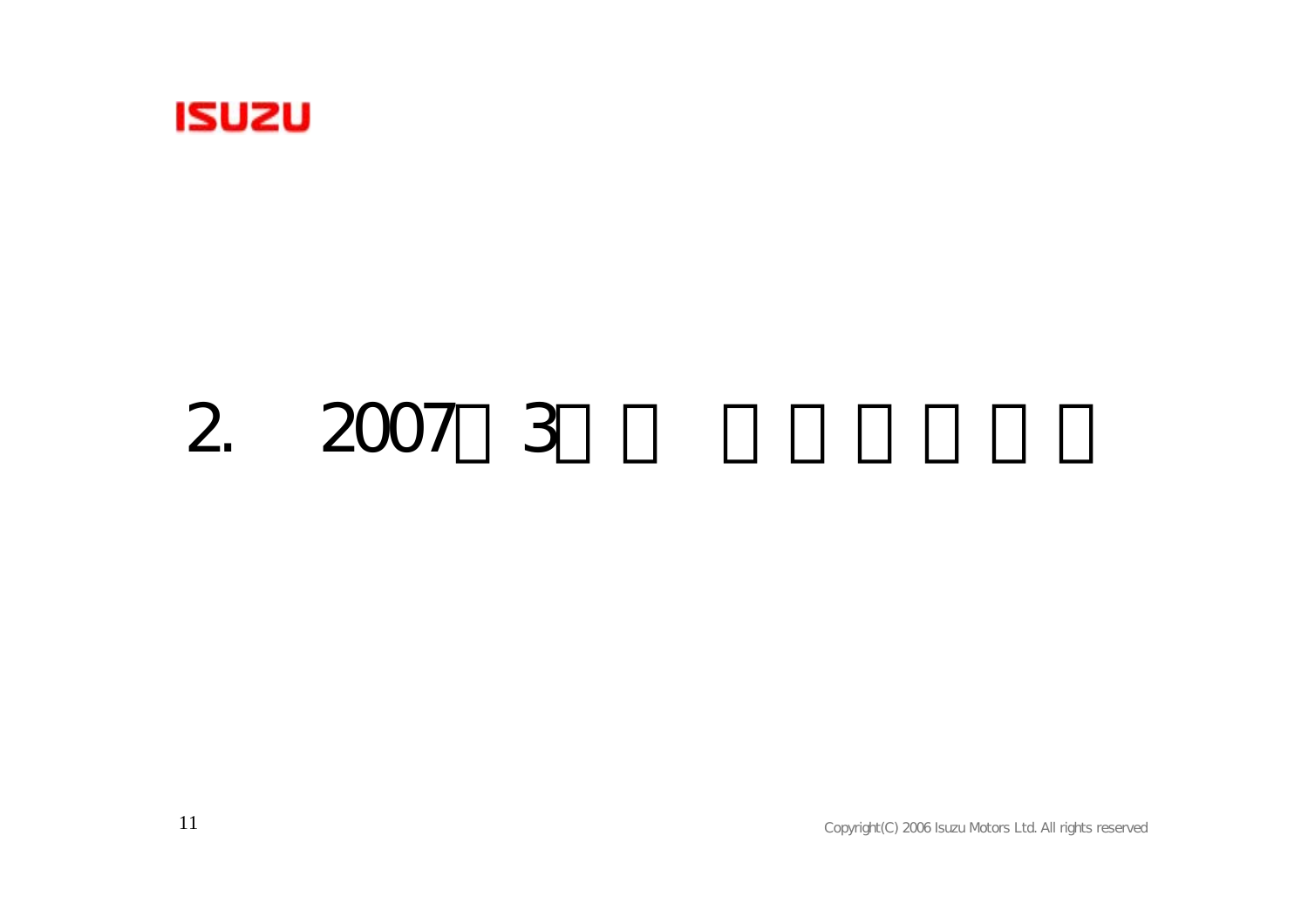

# 2. 2007 3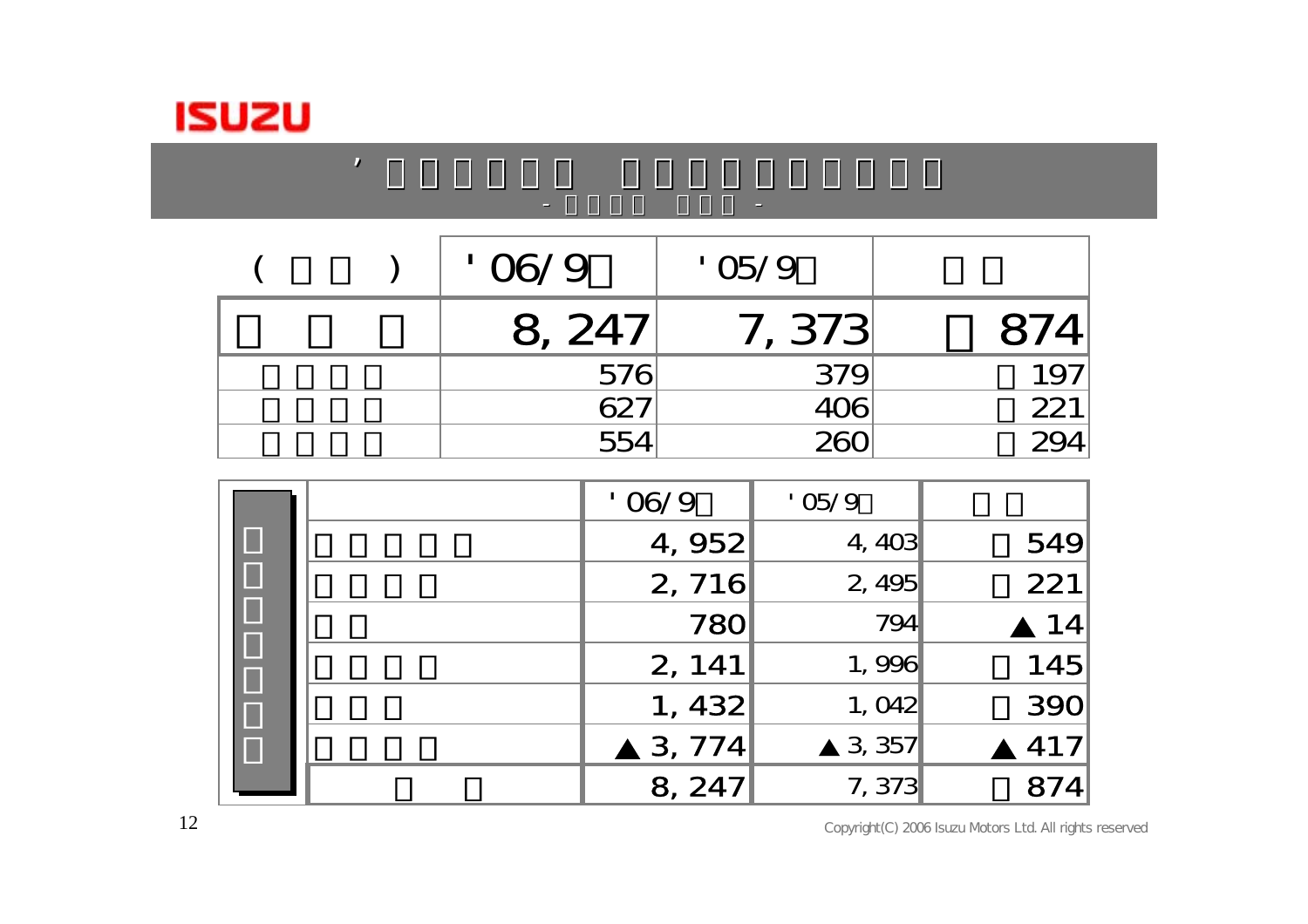

|  | 106/9  | $-05/9$ |     |
|--|--------|---------|-----|
|  | 8, 247 | 7, 373  | 874 |
|  | 576    | 379     | 197 |
|  | 627    | 406     | 221 |
|  | 554    | 260     |     |

-

|  | '06/9  | $'$ 05/9 |     |
|--|--------|----------|-----|
|  | 4, 952 | 4, 403   | 549 |
|  | 2, 716 | 2, 495   | 221 |
|  | 780    | 794      | 14  |
|  | 2, 141 | 1,996    | 145 |
|  | 1, 432 | 1,042    | 390 |
|  | 3, 774 | 3, 357   | 417 |
|  | 8, 247 | 7, 373   | 874 |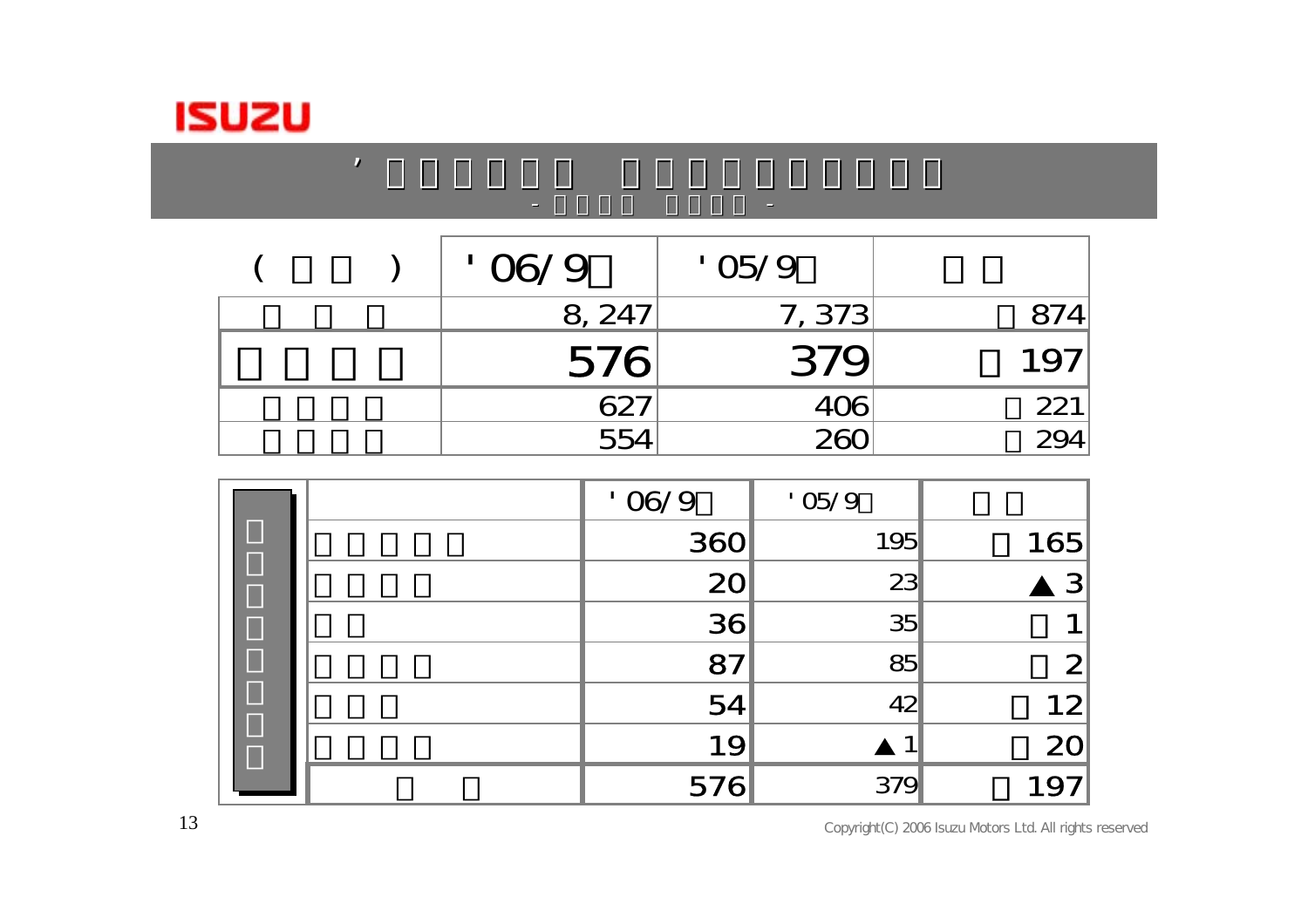

#### $( )$   $( )$   $( )$   $06/9$   $( )$   $05/9$ 8, 247 7, 373 874 576 379 +197 経常利益 627 406 +221 当期利益 554 260 +294

-

|  | '06/9           | $'$ 05/9 |                 |
|--|-----------------|----------|-----------------|
|  | 360             | 195      | 165             |
|  | 20 <sup>°</sup> | 23       | 3               |
|  | 36              | 35       |                 |
|  | 87              | 85       | $\mathbf 2$     |
|  | 54              | 42       | 12              |
|  | 19              |          | 20 <sup>°</sup> |
|  | 576             | 379      | 197             |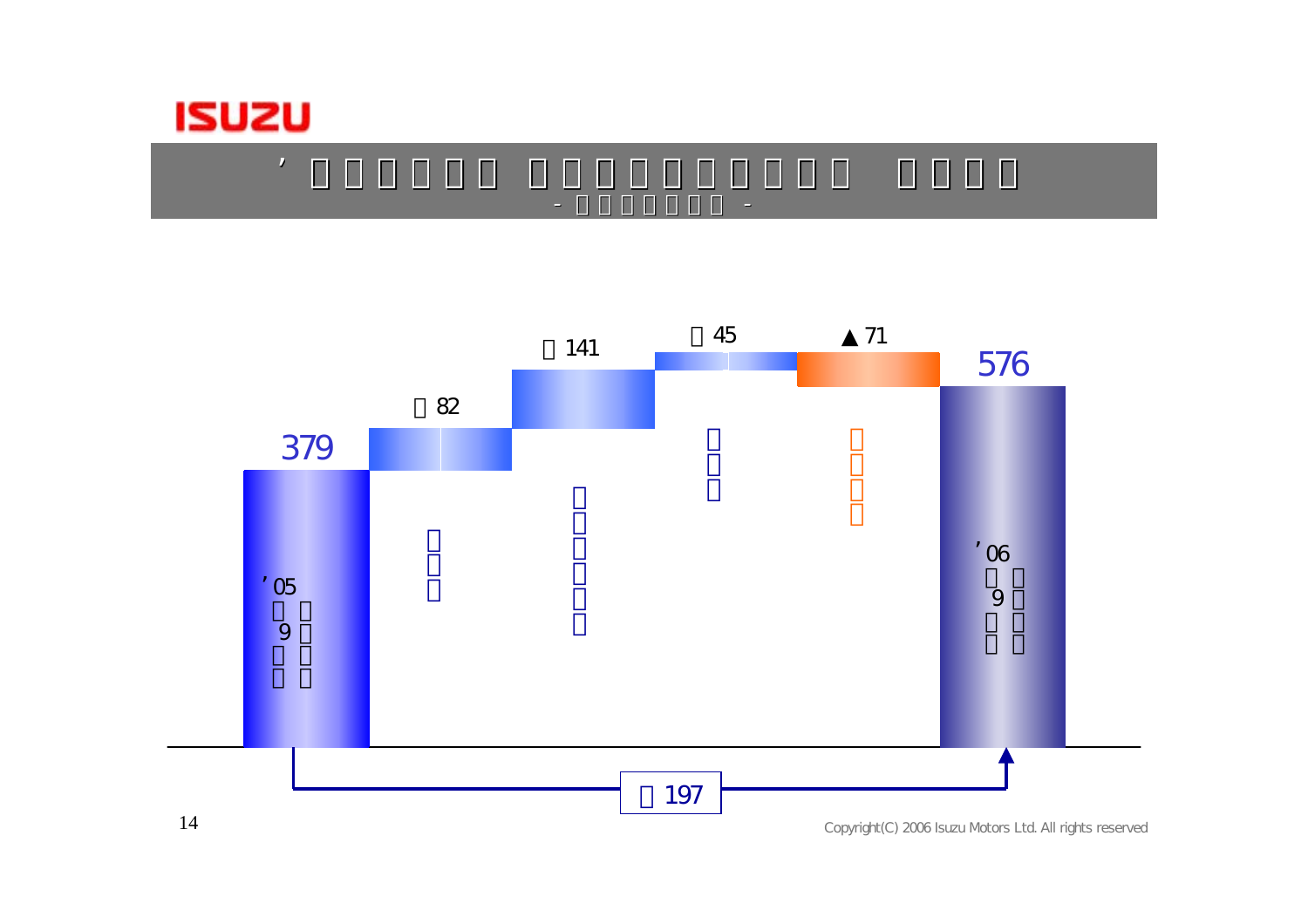



-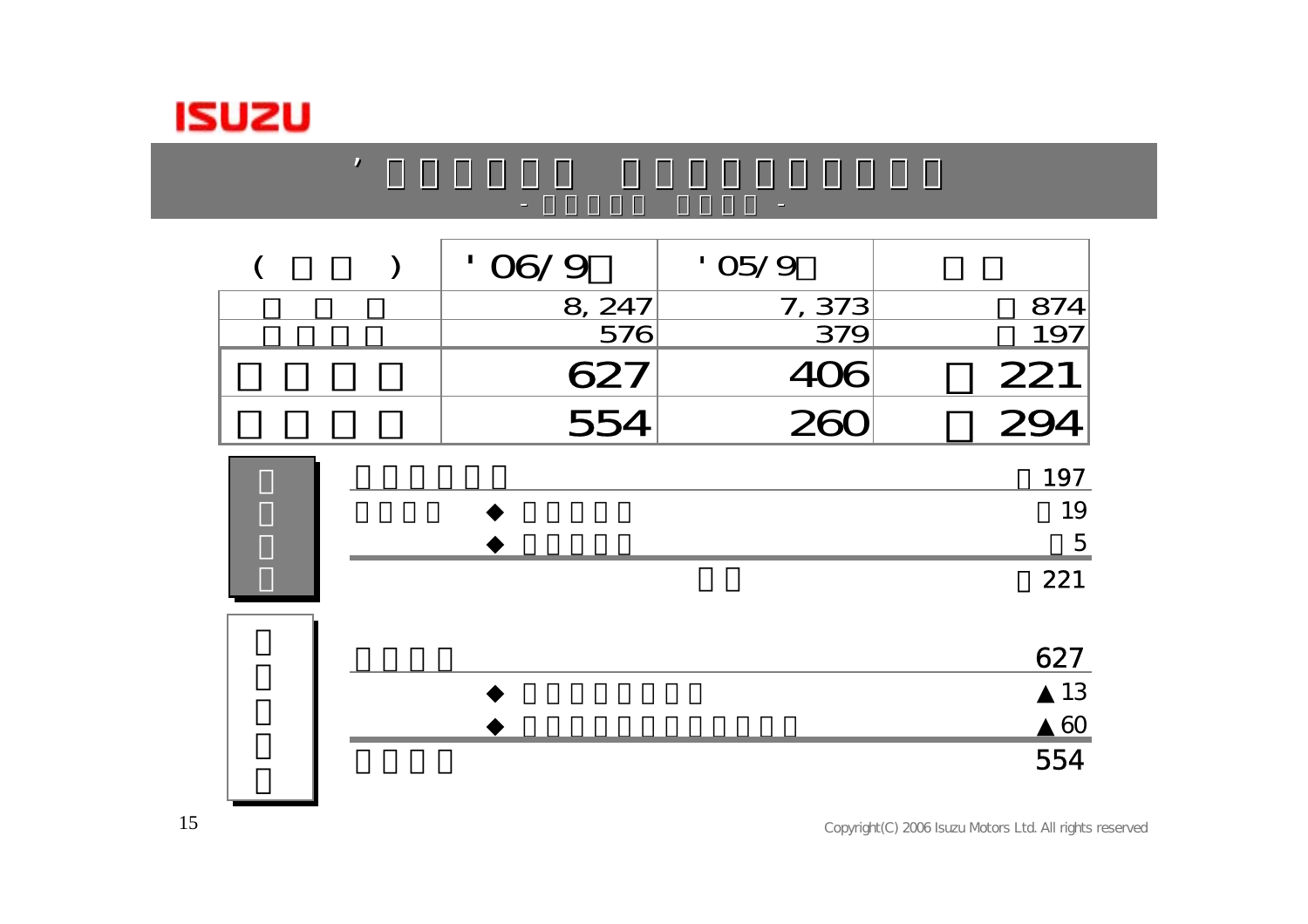

-

#### $( )$  )  $\begin{array}{|c|c|c|c|c|c|c|c|} \hline \end{array}$   $\begin{array}{|c|c|c|c|c|c|c|c|} \hline \end{array}$   $\begin{array}{|c|c|c|c|c|c|} \hline \end{array}$   $\begin{array}{|c|c|c|c|c|c|} \hline \end{array}$  $\begin{array}{cccc} 8, & 247 & 7, & 373 & 874 \end{array}$ 営業利益 576 379 +197 627 406 +221 554260 +294

|  | 197              |
|--|------------------|
|  | 19               |
|  | 5                |
|  | 221              |
|  | 627              |
|  | 13               |
|  |                  |
|  | $\frac{60}{554}$ |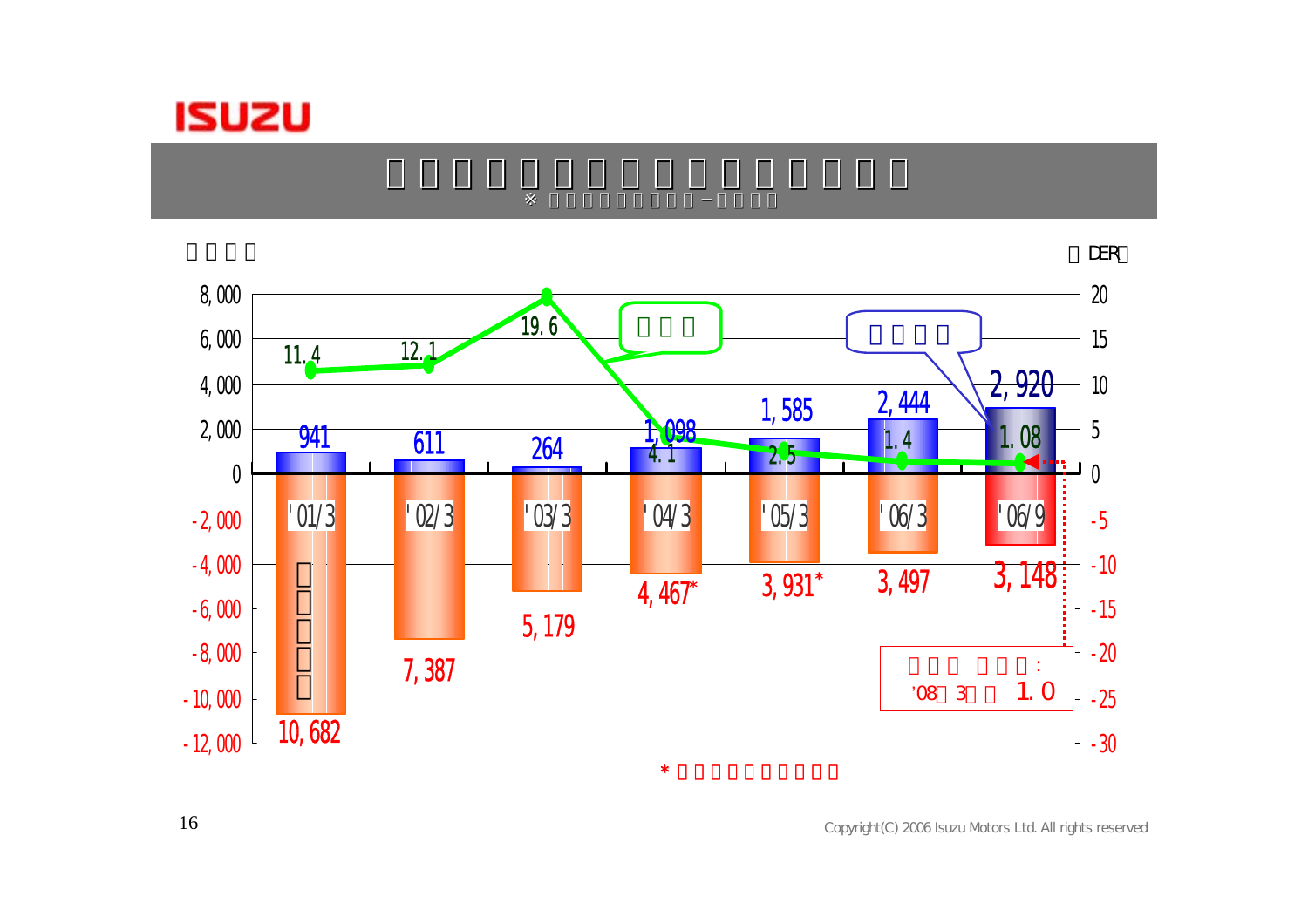

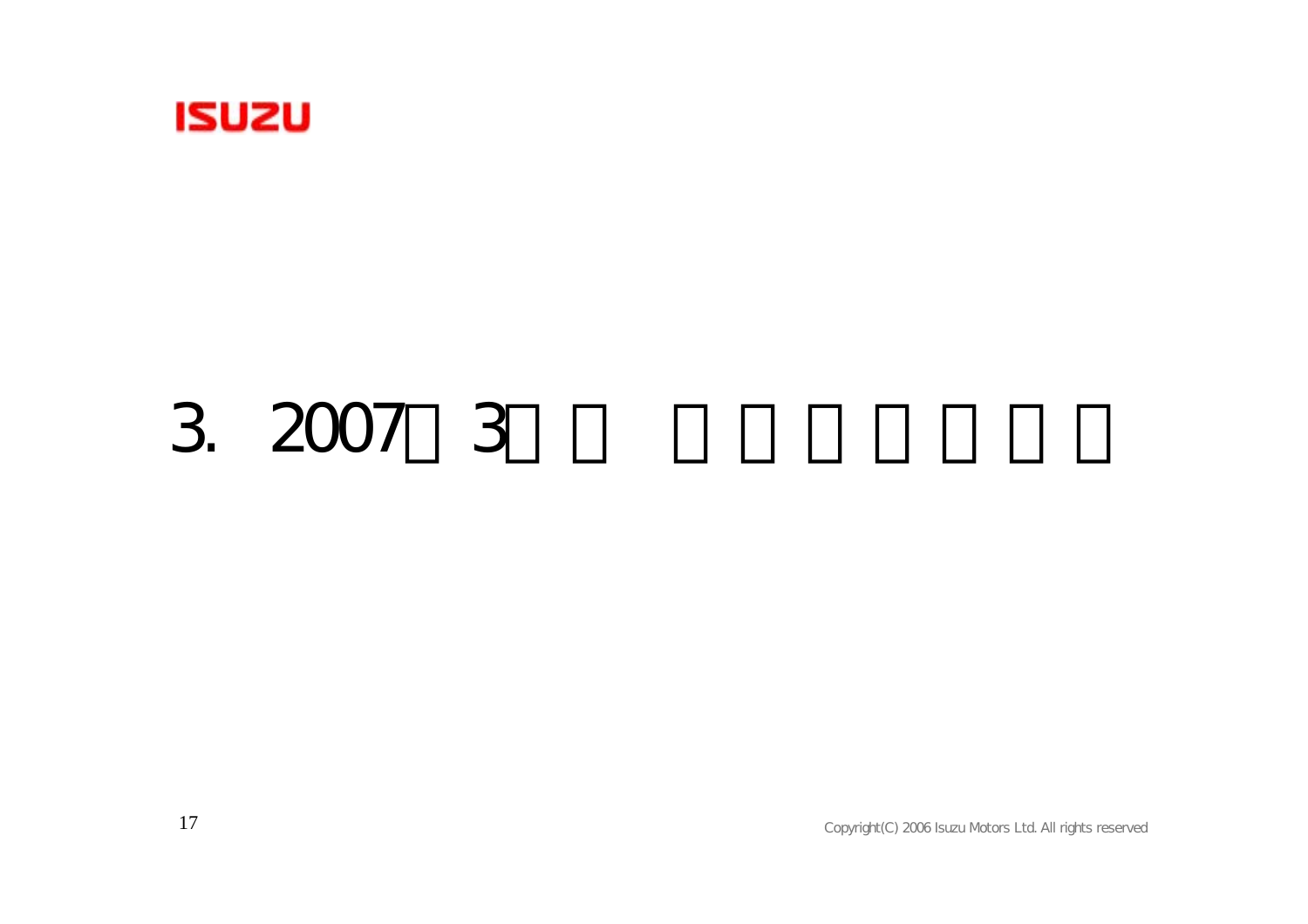

## 3. 2007 3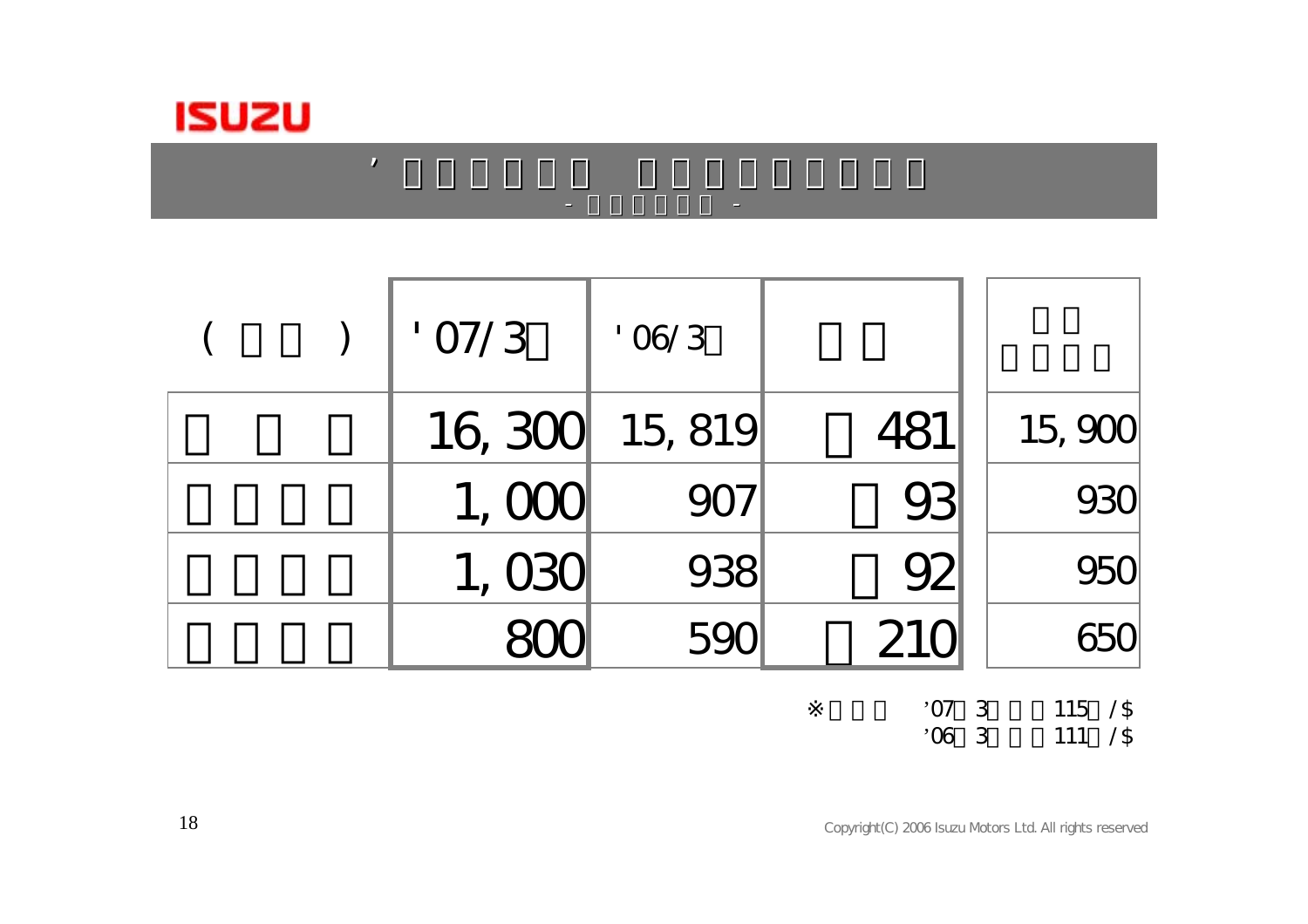

|  | $'$ O7/3 | 06/3       |     |         |
|--|----------|------------|-----|---------|
|  | 16, 300  | 15, 819    | 481 | 15, 900 |
|  | 1,000    | ${\cal X}$ | ゾン  | 930     |
|  | 1,030    | 938        |     | 950     |
|  |          |            | 210 |         |

-

-

'07年3月期=115円/\$  $'06 \t3 \t111 \t/$$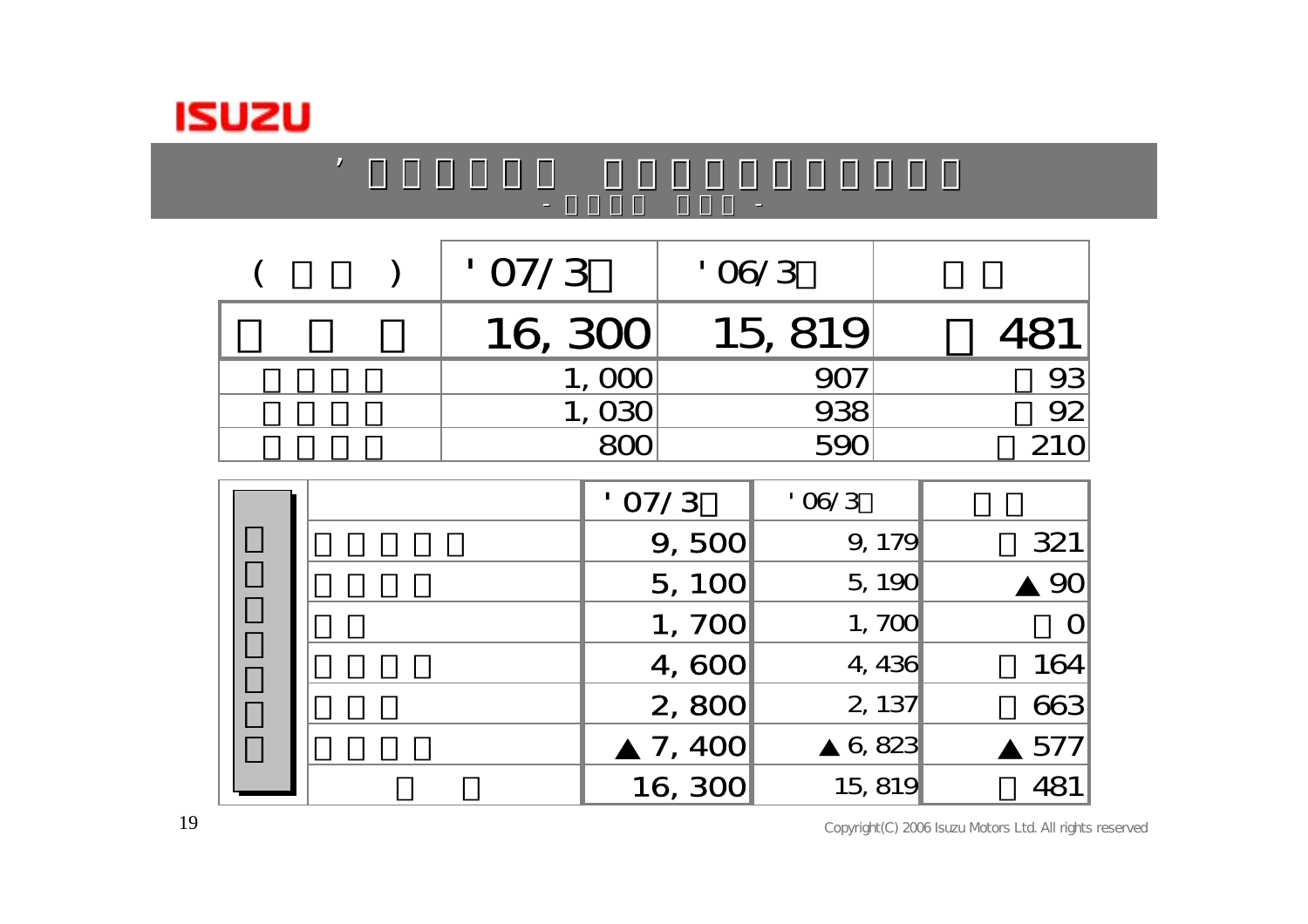

|  | $'$ O7/3 | $\frac{1}{2}$ O6/3 |  |
|--|----------|--------------------|--|
|  | 16, 300  | 15, 819            |  |
|  | 1,000    |                    |  |
|  | 1, 030   | 438                |  |
|  |          |                    |  |

-

|  | $'$ O7/3 | 06/3    |     |
|--|----------|---------|-----|
|  | 9,500    | 9, 179  | 321 |
|  | 5, 100   | 5, 190  | 90  |
|  | 1,700    | 1,700   |     |
|  | 4,600    | 4, 436  | 164 |
|  | 2,800    | 2, 137  | 663 |
|  | 7,400    | 6,823   | 577 |
|  | 16, 300  | 15, 819 |     |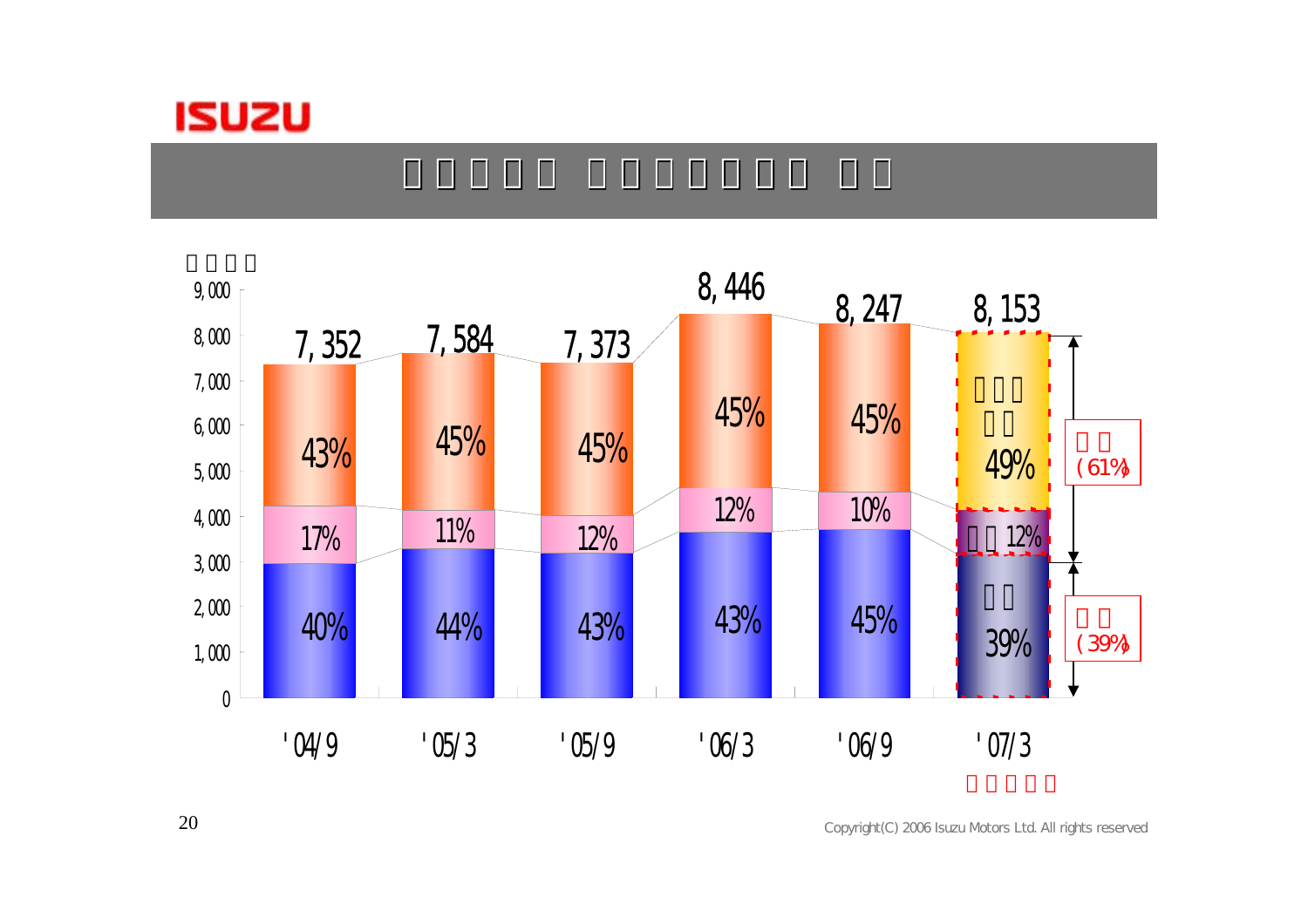

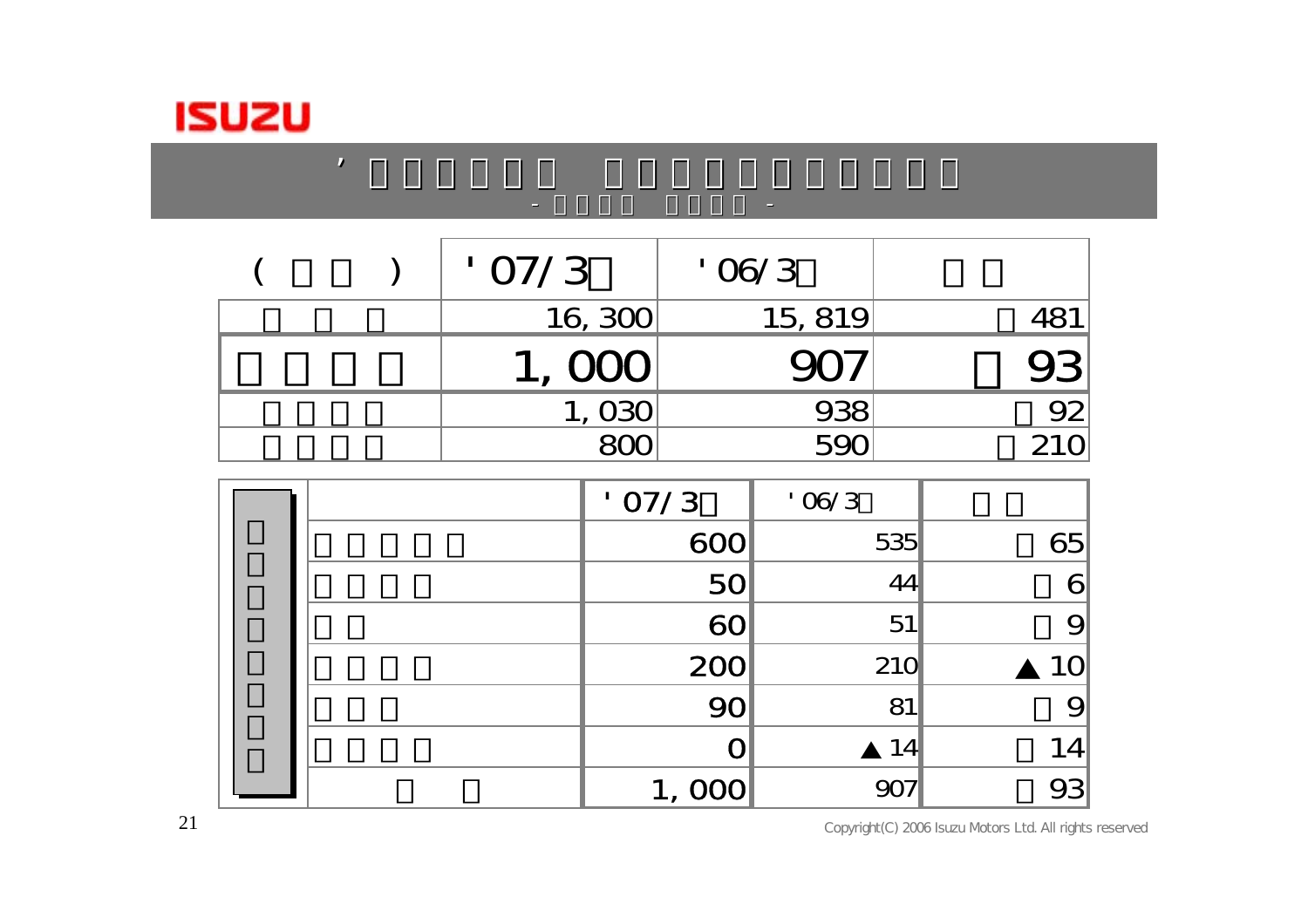

|  | $'$ O7/3 | 106/3   |  |
|--|----------|---------|--|
|  | 16, 300  | 15, 819 |  |
|  | 1,000    |         |  |
|  | 1, 030   | 738'    |  |
|  |          |         |  |

-

|  | $'$ O7/3 | $'$ O6/3 |                |
|--|----------|----------|----------------|
|  | 600      | 535      | 65             |
|  | 50       | 44       | 6              |
|  | 60       | 51       | 9              |
|  | 200      | 210      | 1Ο             |
|  | 90       | 81       | 9              |
|  |          | 14       | $\overline{4}$ |
|  | 1,000    | 907      | 93             |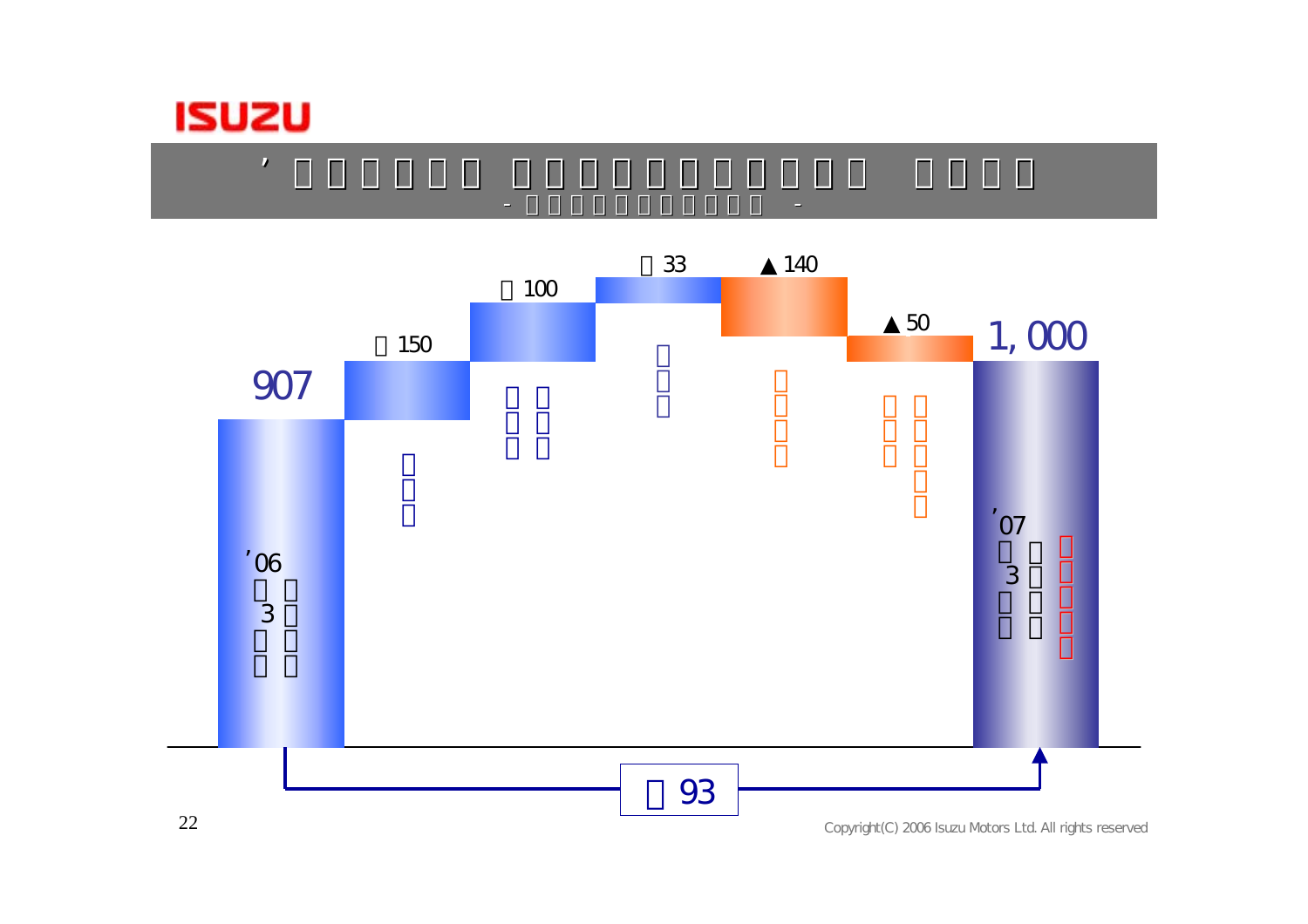



-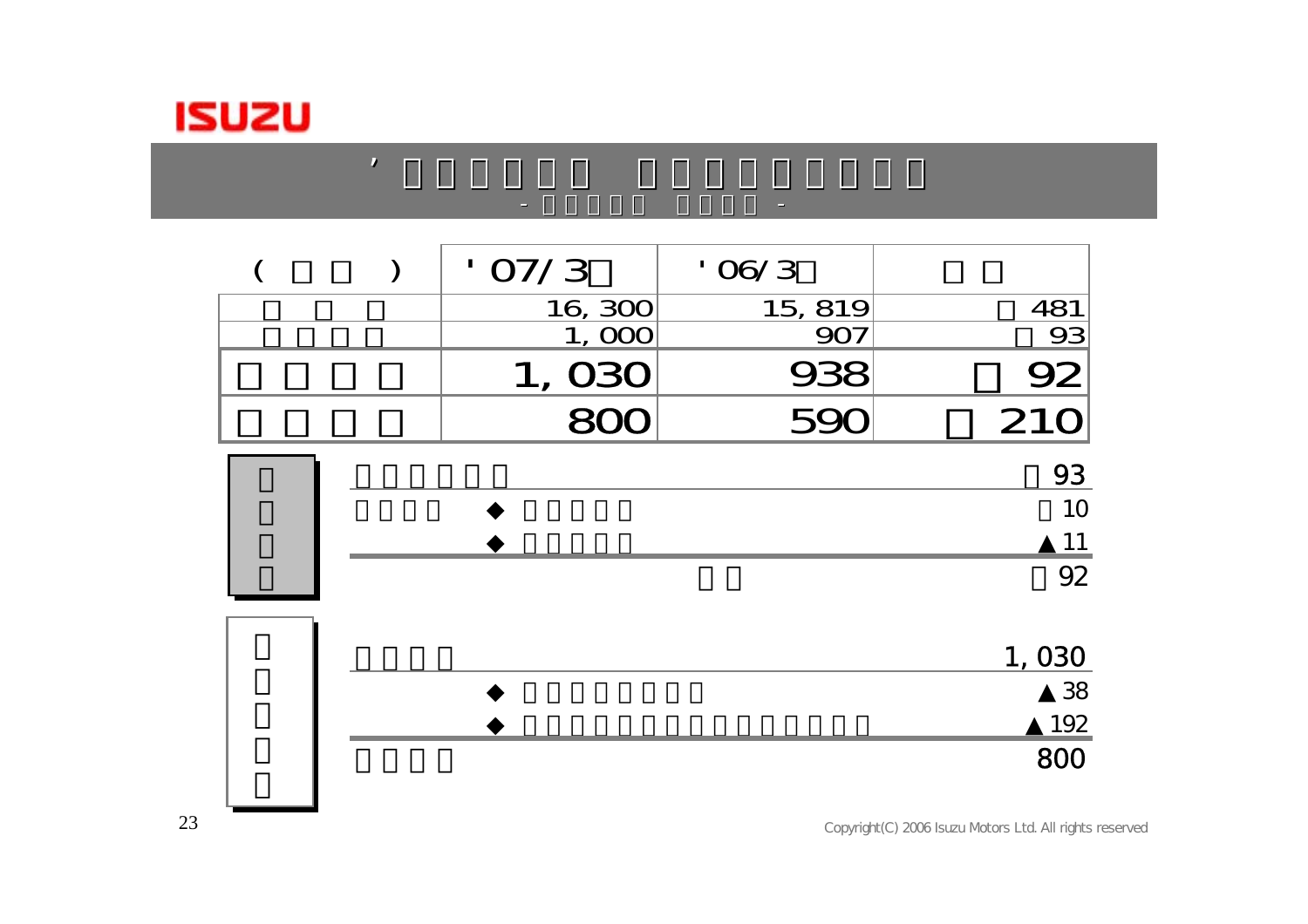

-

|  | $'$ O7/3               | $\cdot$ 06/3 |        |
|--|------------------------|--------------|--------|
|  |                        | 15, 819      |        |
|  | $\frac{16,300}{1,000}$ |              | 93     |
|  | 1, O3O                 |              |        |
|  |                        |              | $21$ O |

| 1,030 |
|-------|
| 38    |
| 192   |
|       |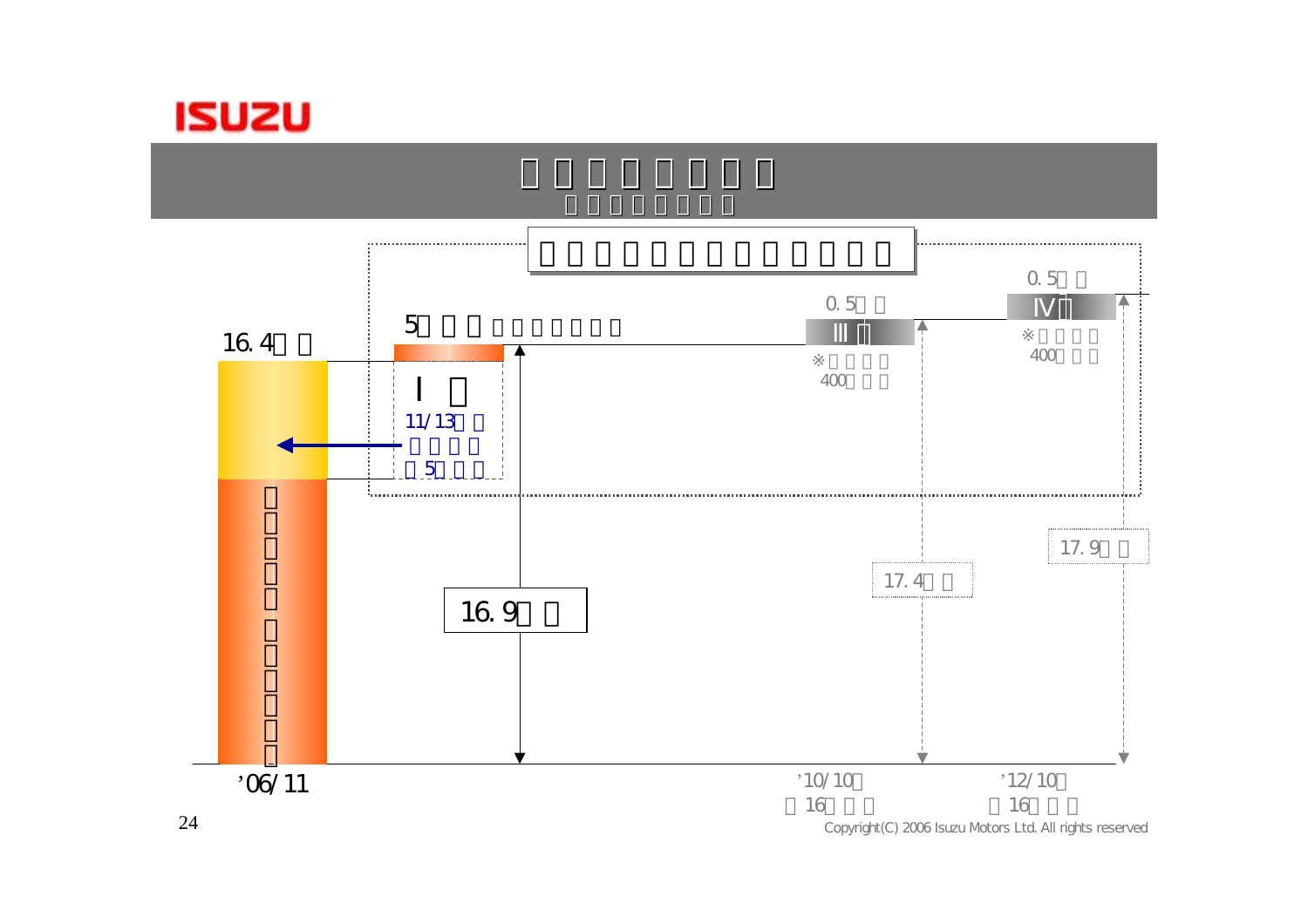

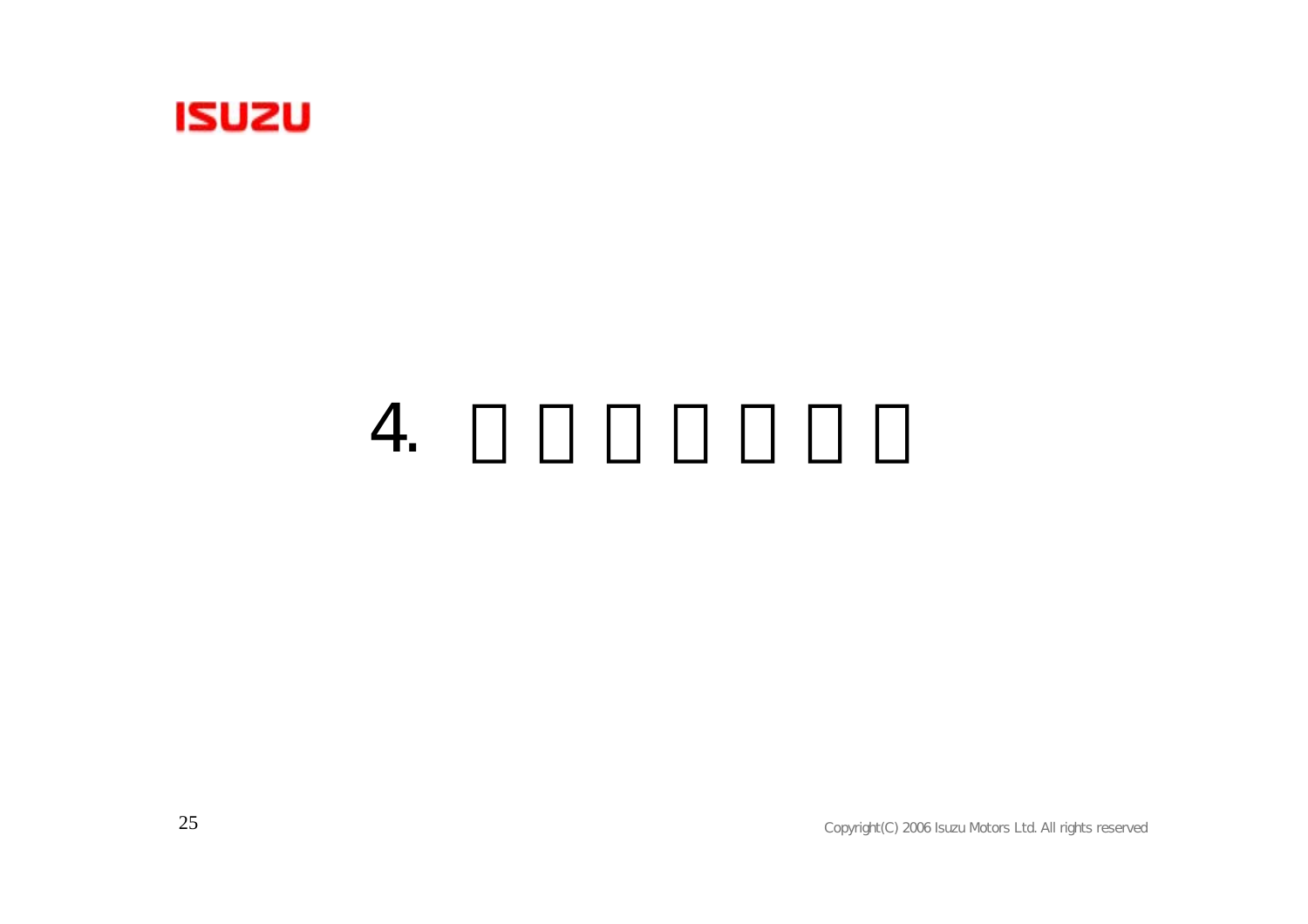

4. 事業状況と課題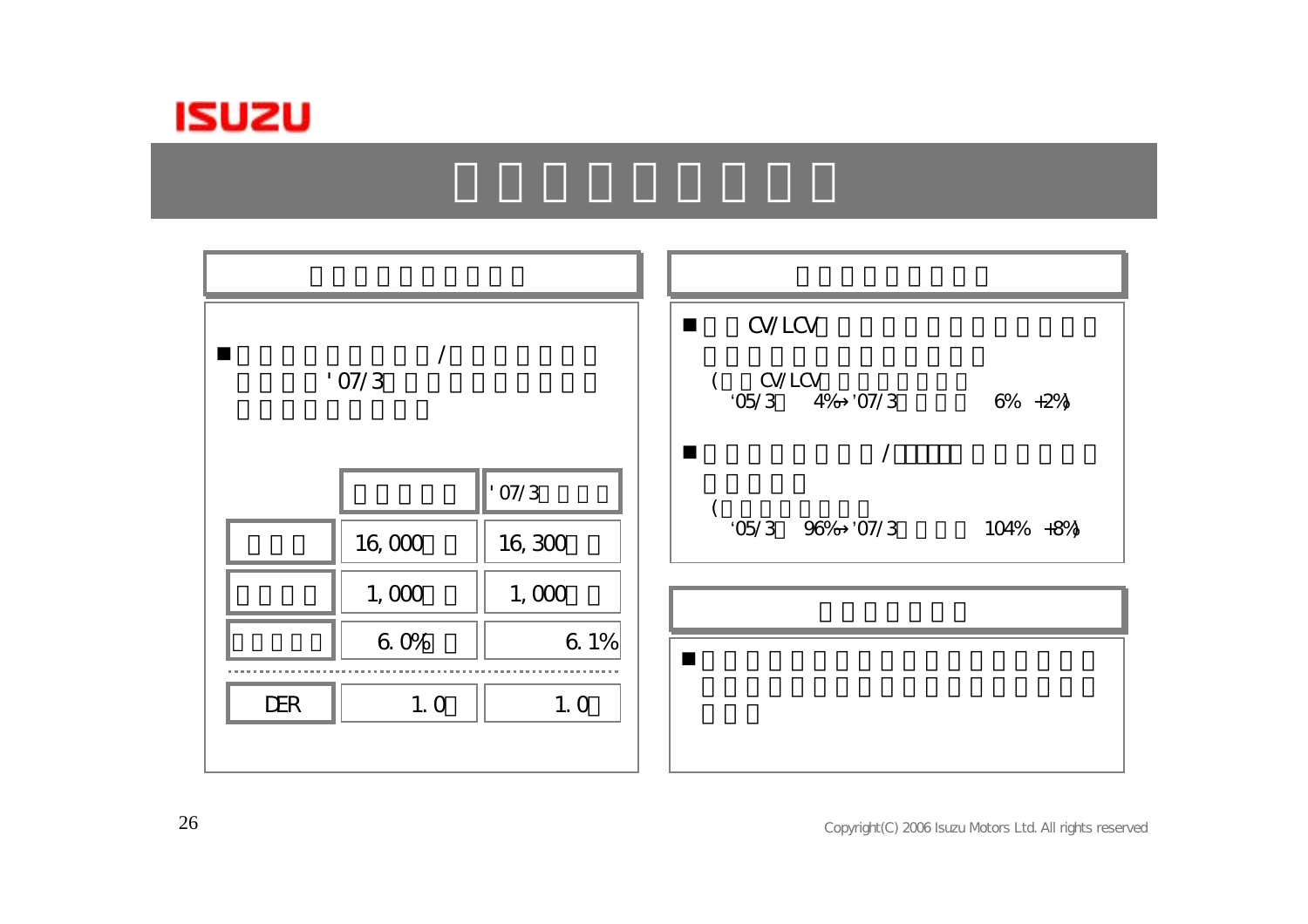

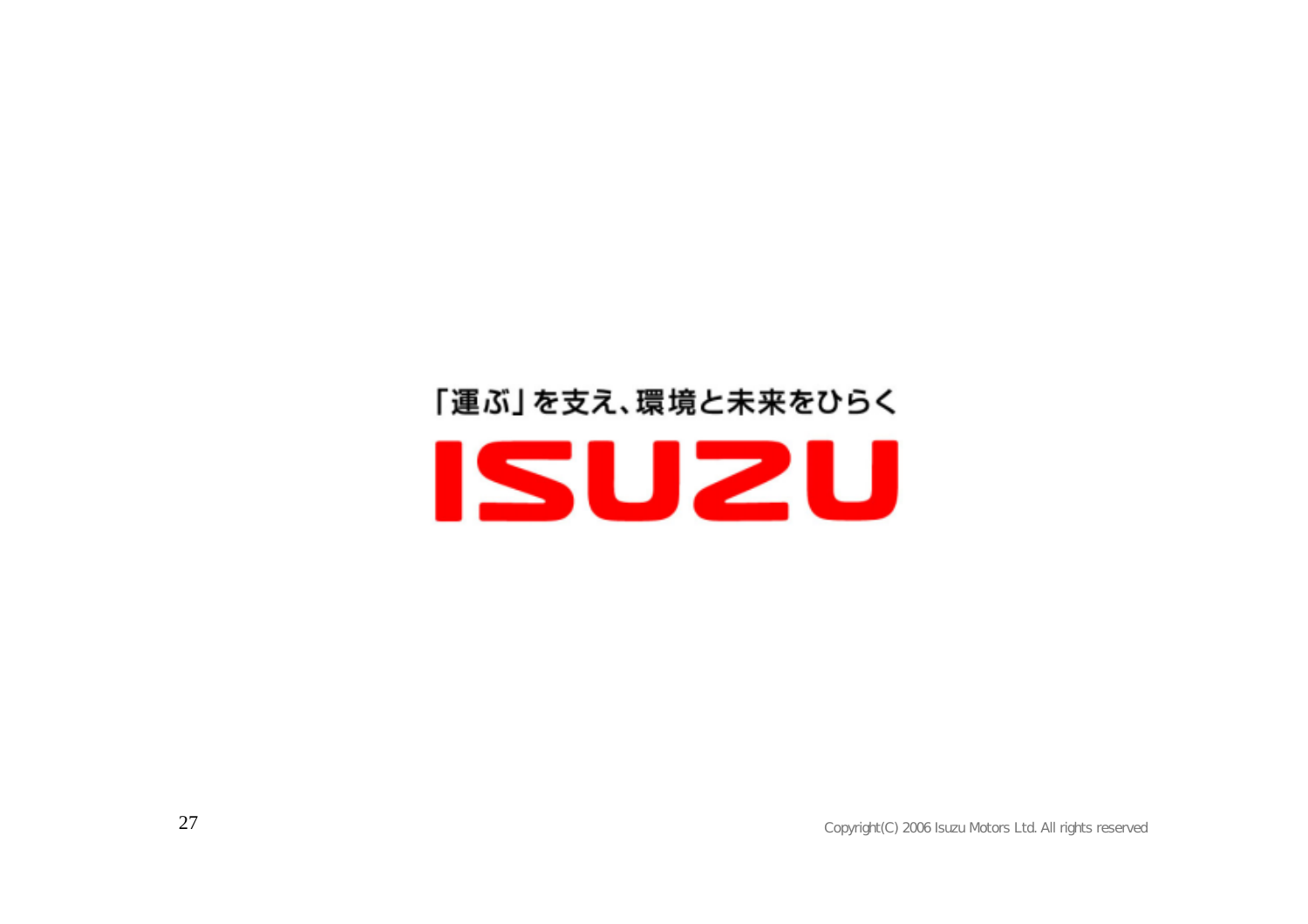# 「運ぶ」を支え、環境と未来をひらく ISUZU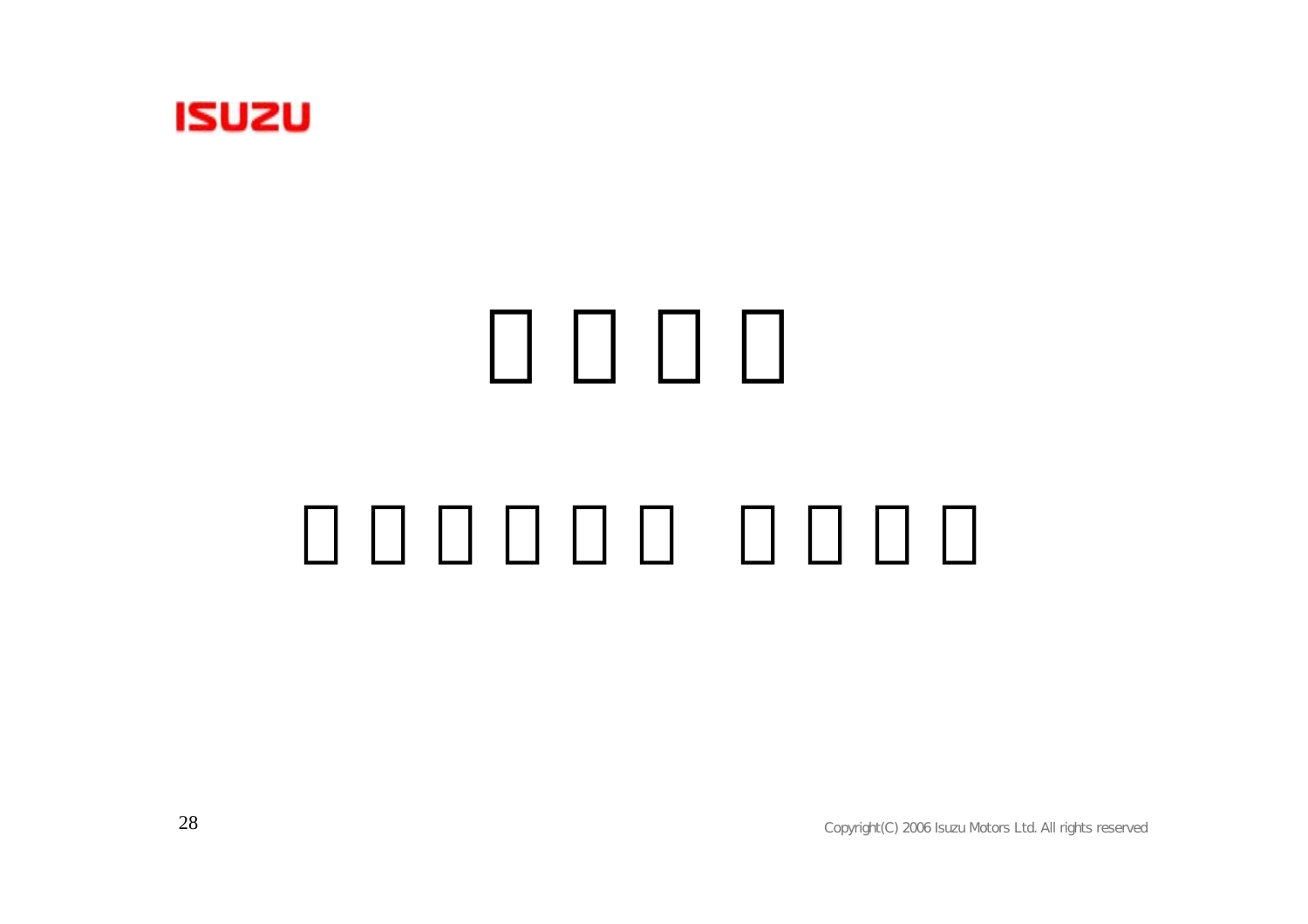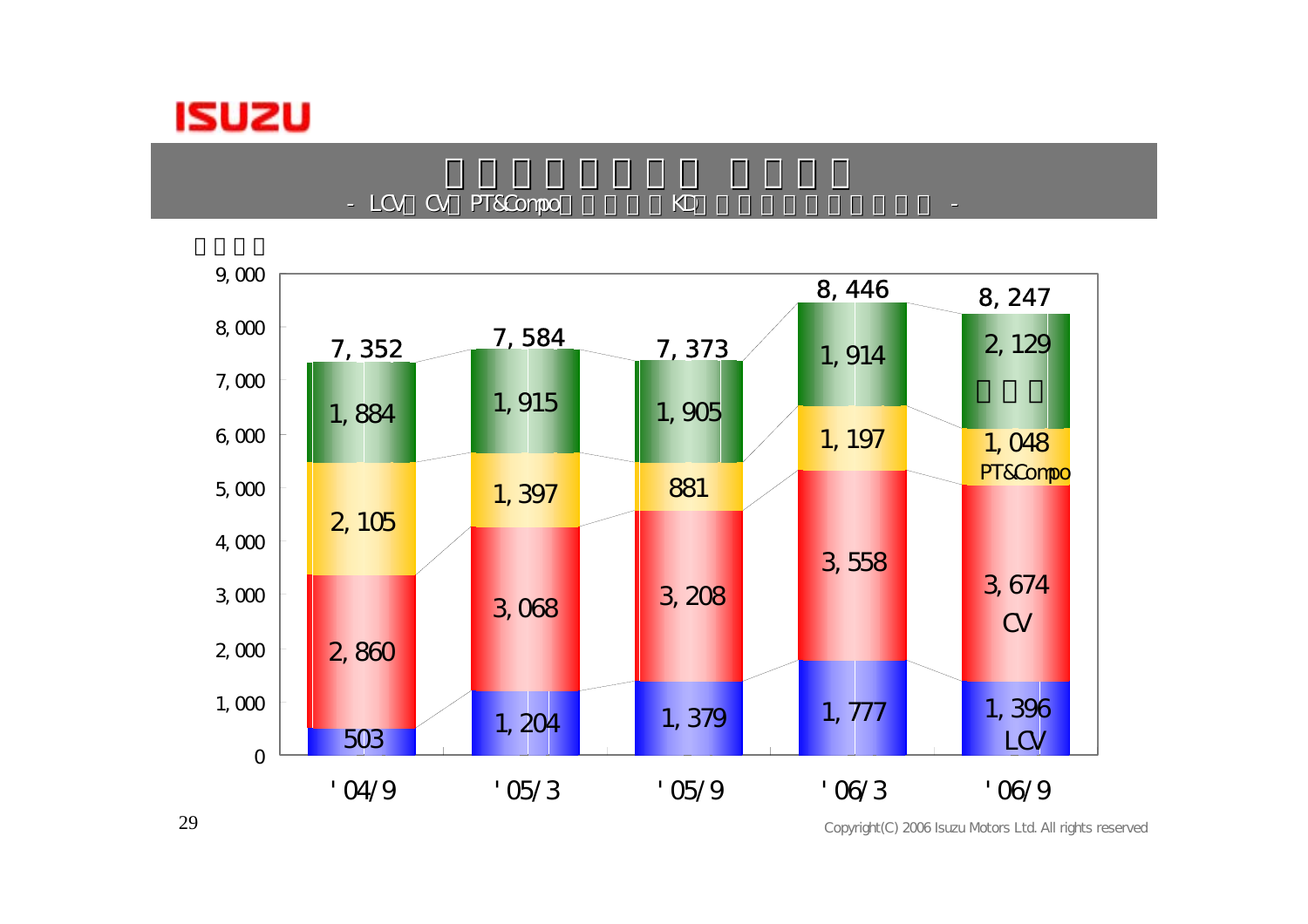

- LCV CV PT&Compo RD



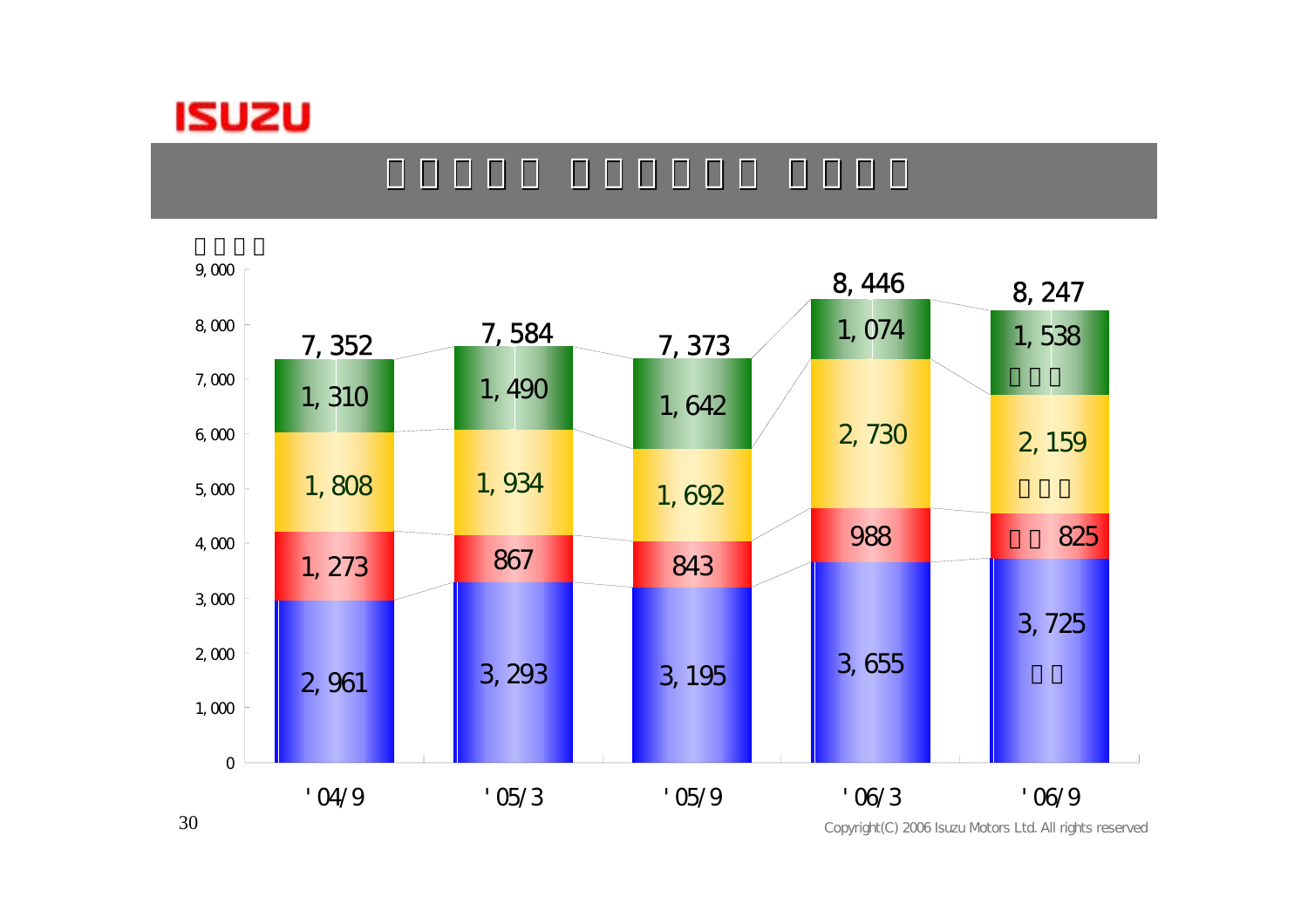

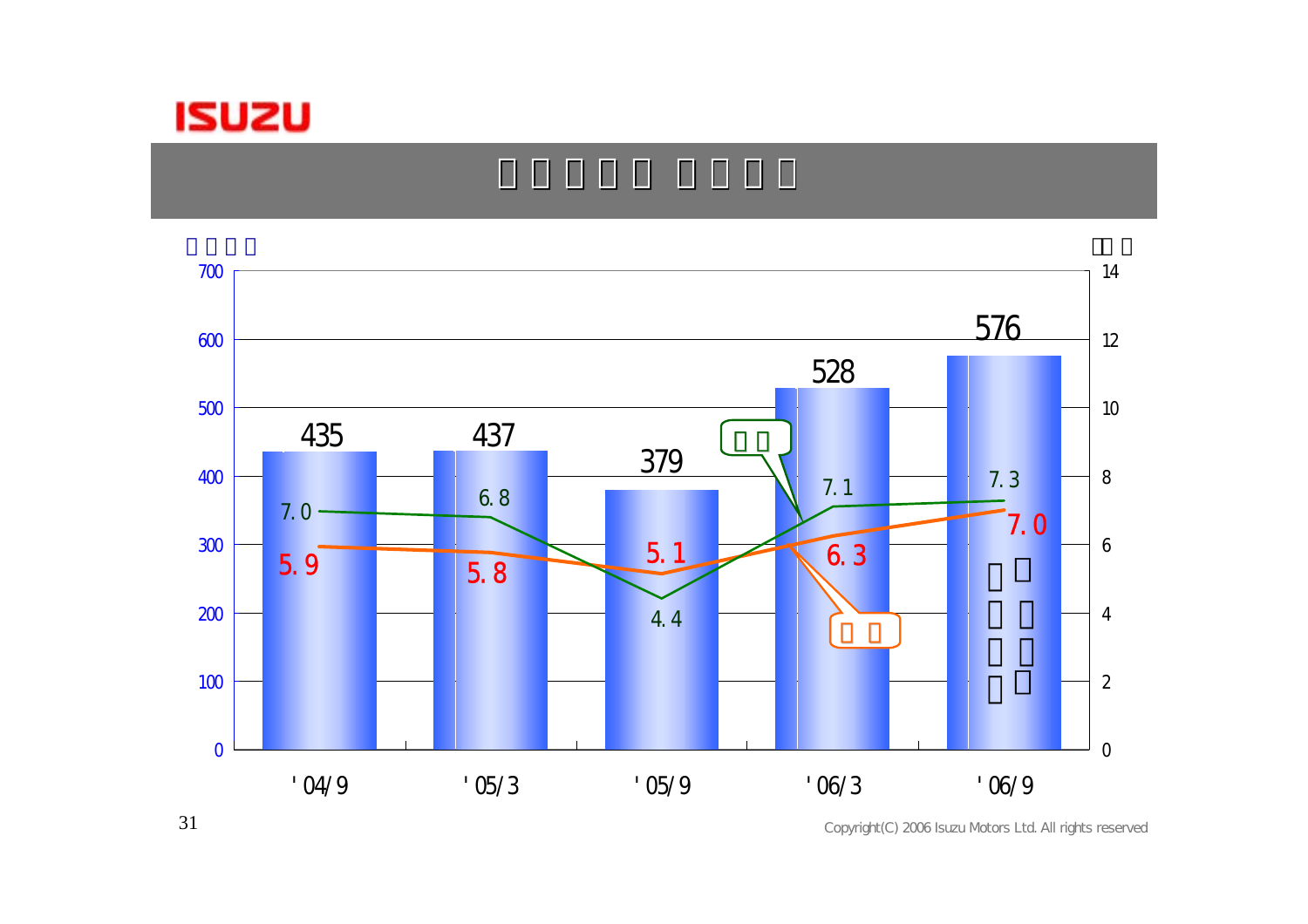

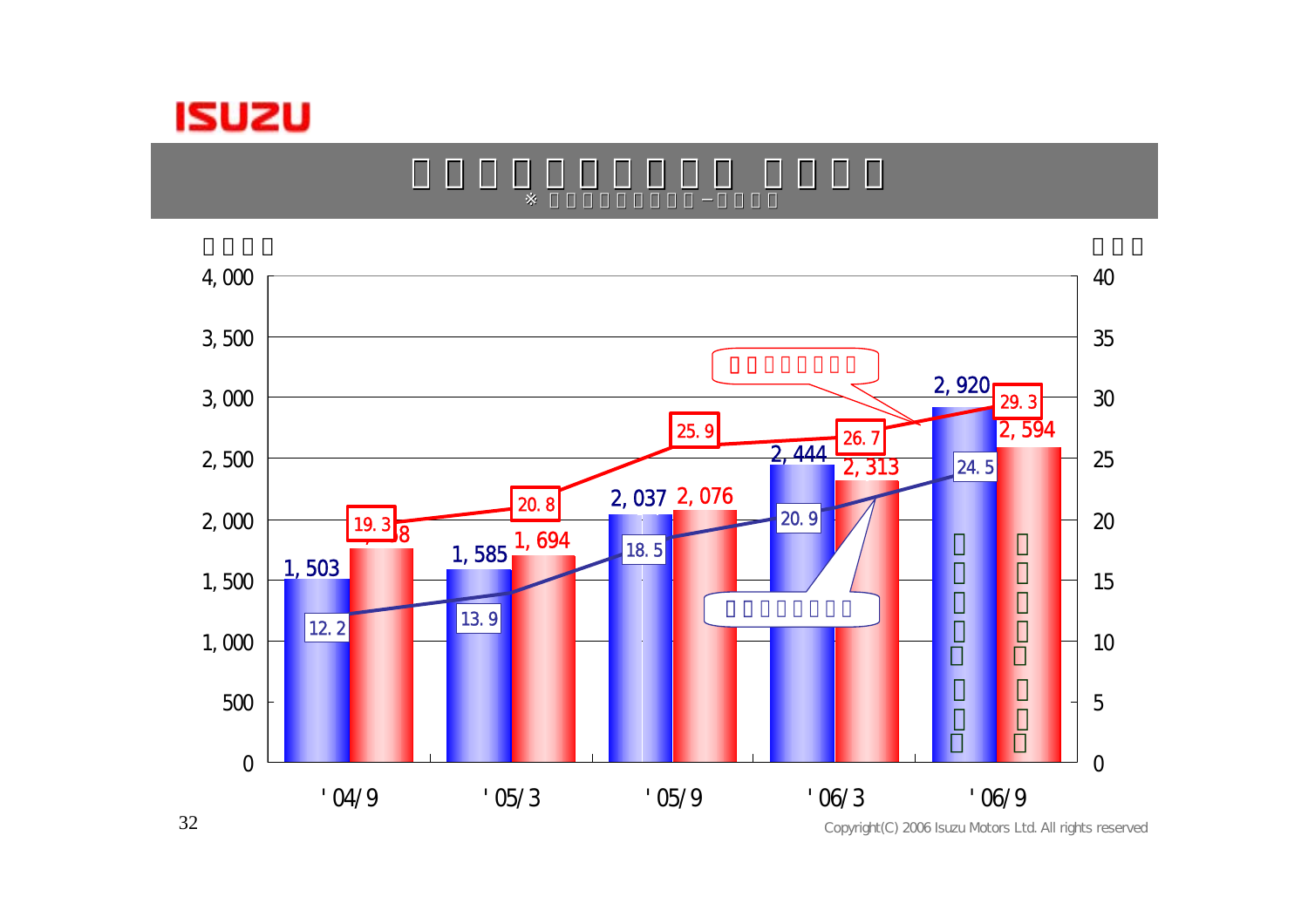

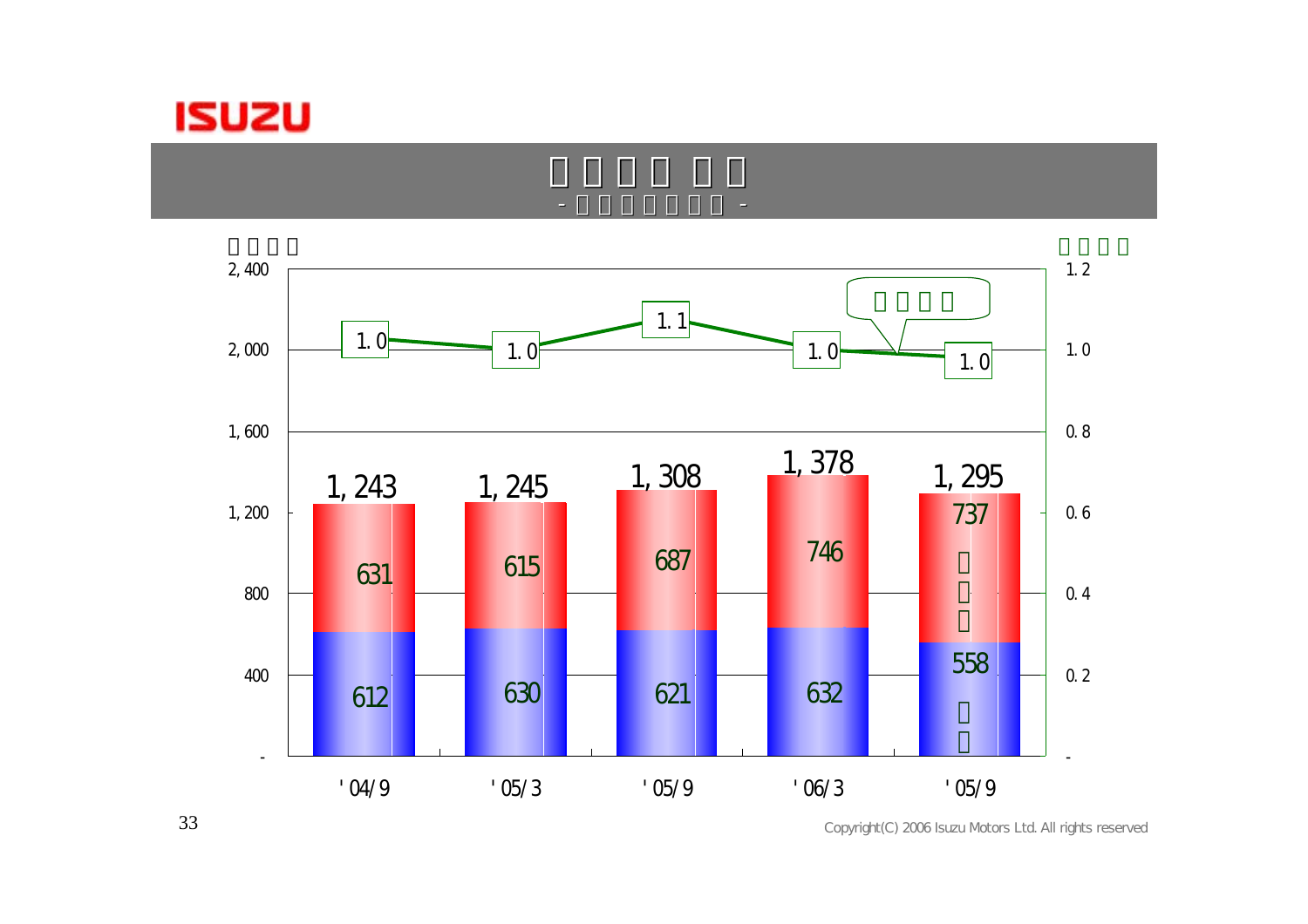



-

-